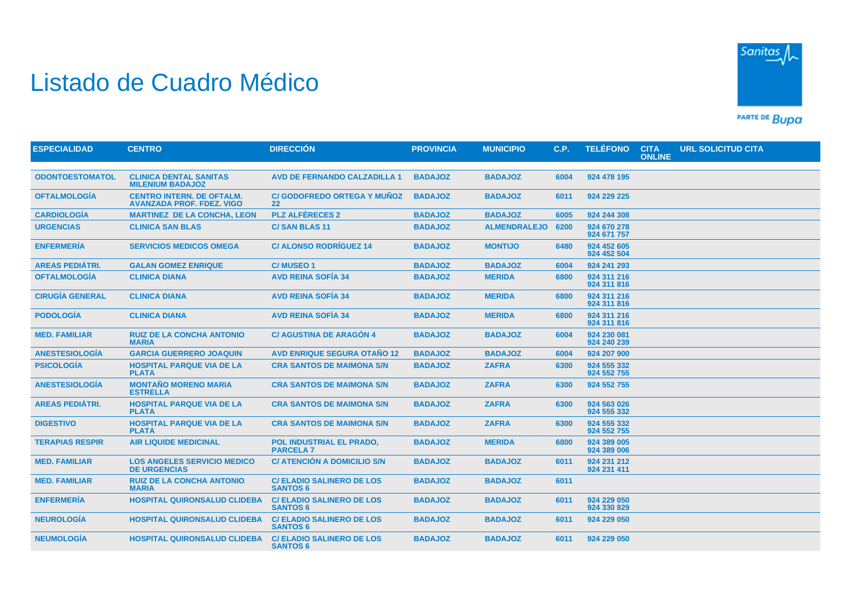## Listado de Cuadro Médico



PARTE DE BUDA

| <b>ESPECIALIDAD</b>    | <b>CENTRO</b>                                                        | <b>DIRECCIÓN</b>                                    | <b>PROVINCIA</b> | <b>MUNICIPIO</b>    | C.P. | <b>TELÉFONO</b>            | <b>CITA</b><br><b>ONLINE</b> | <b>URL SOLICITUD CITA</b> |
|------------------------|----------------------------------------------------------------------|-----------------------------------------------------|------------------|---------------------|------|----------------------------|------------------------------|---------------------------|
|                        |                                                                      |                                                     |                  |                     |      |                            |                              |                           |
| <b>ODONTOESTOMATOL</b> | <b>CLINICA DENTAL SANITAS</b><br><b>MILENIUM BADAJOZ</b>             | <b>AVD DE FERNANDO CALZADILLA 1</b>                 | <b>BADAJOZ</b>   | <b>BADAJOZ</b>      | 6004 | 924 478 195                |                              |                           |
| <b>OFTALMOLOGÍA</b>    | <b>CENTRO INTERN. DE OFTALM.</b><br><b>AVANZADA PROF. FDEZ. VIGO</b> | <b>C/ GODOFREDO ORTEGA Y MUNOZ</b><br>22            | <b>BADAJOZ</b>   | <b>BADAJOZ</b>      | 6011 | 924 229 225                |                              |                           |
| <b>CARDIOLOGÍA</b>     | <b>MARTINEZ DE LA CONCHA, LEON</b>                                   | <b>PLZ ALFÉRECES 2</b>                              | <b>BADAJOZ</b>   | <b>BADAJOZ</b>      | 6005 | 924 244 308                |                              |                           |
| <b>URGENCIAS</b>       | <b>CLINICA SAN BLAS</b>                                              | <b>C/SAN BLAS 11</b>                                | <b>BADAJOZ</b>   | <b>ALMENDRALEJO</b> | 6200 | 924 670 278<br>924 671 757 |                              |                           |
| <b>ENFERMERÍA</b>      | <b>SERVICIOS MEDICOS OMEGA</b>                                       | <b>C/ ALONSO RODRÍGUEZ 14</b>                       | <b>BADAJOZ</b>   | <b>MONTIJO</b>      | 6480 | 924 452 605<br>924 452 504 |                              |                           |
| <b>AREAS PEDIÁTRI.</b> | <b>GALAN GOMEZ ENRIQUE</b>                                           | <b>C/MUSEO1</b>                                     | <b>BADAJOZ</b>   | <b>BADAJOZ</b>      | 6004 | 924 241 293                |                              |                           |
| <b>OFTALMOLOGÍA</b>    | <b>CLINICA DIANA</b>                                                 | <b>AVD REINA SOFIA 34</b>                           | <b>BADAJOZ</b>   | <b>MERIDA</b>       | 6800 | 924 311 216<br>924 311 816 |                              |                           |
| <b>CIRUGÍA GENERAL</b> | <b>CLINICA DIANA</b>                                                 | <b>AVD REINA SOFÍA 34</b>                           | <b>BADAJOZ</b>   | <b>MERIDA</b>       | 6800 | 924 311 216<br>924 311 816 |                              |                           |
| <b>PODOLOGÍA</b>       | <b>CLINICA DIANA</b>                                                 | <b>AVD REINA SOFÍA 34</b>                           | <b>BADAJOZ</b>   | <b>MERIDA</b>       | 6800 | 924 311 216<br>924 311 816 |                              |                           |
| <b>MED. FAMILIAR</b>   | <b>RUIZ DE LA CONCHA ANTONIO</b><br><b>MARIA</b>                     | <b>C/AGUSTINA DE ARAGÓN 4</b>                       | <b>BADAJOZ</b>   | <b>BADAJOZ</b>      | 6004 | 924 230 081<br>924 240 239 |                              |                           |
| <b>ANESTESIOLOGÍA</b>  | <b>GARCIA GUERRERO JOAQUIN</b>                                       | <b>AVD ENRIQUE SEGURA OTAÑO 12</b>                  | <b>BADAJOZ</b>   | <b>BADAJOZ</b>      | 6004 | 924 207 900                |                              |                           |
| <b>PSICOLOGÍA</b>      | <b>HOSPITAL PARQUE VIA DE LA</b><br><b>PLATA</b>                     | <b>CRA SANTOS DE MAIMONA S/N</b>                    | <b>BADAJOZ</b>   | <b>ZAFRA</b>        | 6300 | 924 555 332<br>924 552 755 |                              |                           |
| <b>ANESTESIOLOGÍA</b>  | <b>MONTAÑO MORENO MARIA</b><br><b>ESTRELLA</b>                       | <b>CRA SANTOS DE MAIMONA S/N</b>                    | <b>BADAJOZ</b>   | <b>ZAFRA</b>        | 6300 | 924 552 755                |                              |                           |
| <b>AREAS PEDIÁTRI.</b> | <b>HOSPITAL PARQUE VIA DE LA</b><br><b>PLATA</b>                     | <b>CRA SANTOS DE MAIMONA S/N</b>                    | <b>BADAJOZ</b>   | <b>ZAFRA</b>        | 6300 | 924 563 026<br>924 555 332 |                              |                           |
| <b>DIGESTIVO</b>       | <b>HOSPITAL PARQUE VIA DE LA</b><br><b>PLATA</b>                     | <b>CRA SANTOS DE MAIMONA S/N</b>                    | <b>BADAJOZ</b>   | <b>ZAFRA</b>        | 6300 | 924 555 332<br>924 552 755 |                              |                           |
| <b>TERAPIAS RESPIR</b> | <b>AIR LIQUIDE MEDICINAL</b>                                         | POL INDUSTRIAL EL PRADO,<br><b>PARCELA 7</b>        | <b>BADAJOZ</b>   | <b>MERIDA</b>       | 6800 | 924 389 005<br>924 389 006 |                              |                           |
| <b>MED. FAMILIAR</b>   | <b>LOS ANGELES SERVICIO MEDICO</b><br><b>DE URGENCIAS</b>            | C/ ATENCIÓN A DOMICILIO S/N                         | <b>BADAJOZ</b>   | <b>BADAJOZ</b>      | 6011 | 924 231 212<br>924 231 411 |                              |                           |
| <b>MED. FAMILIAR</b>   | <b>RUIZ DE LA CONCHA ANTONIO</b><br><b>MARIA</b>                     | <b>C/ ELADIO SALINERO DE LOS</b><br><b>SANTOS 6</b> | <b>BADAJOZ</b>   | <b>BADAJOZ</b>      | 6011 |                            |                              |                           |
| <b>ENFERMERÍA</b>      | <b>HOSPITAL QUIRONSALUD CLIDEBA</b>                                  | <b>C/ELADIO SALINERO DE LOS</b><br><b>SANTOS 6</b>  | <b>BADAJOZ</b>   | <b>BADAJOZ</b>      | 6011 | 924 229 050<br>924 330 829 |                              |                           |
| <b>NEUROLOGÍA</b>      | HOSPITAL QUIRONSALUD CLIDEBA                                         | <b>C/ ELADIO SALINERO DE LOS</b><br><b>SANTOS 6</b> | <b>BADAJOZ</b>   | <b>BADAJOZ</b>      | 6011 | 924 229 050                |                              |                           |
| <b>NEUMOLOGIA</b>      | <b>HOSPITAL QUIRONSALUD CLIDEBA</b>                                  | <b>C/ ELADIO SALINERO DE LOS</b><br><b>SANTOS 6</b> | <b>BADAJOZ</b>   | <b>BADAJOZ</b>      | 6011 | 924 229 050                |                              |                           |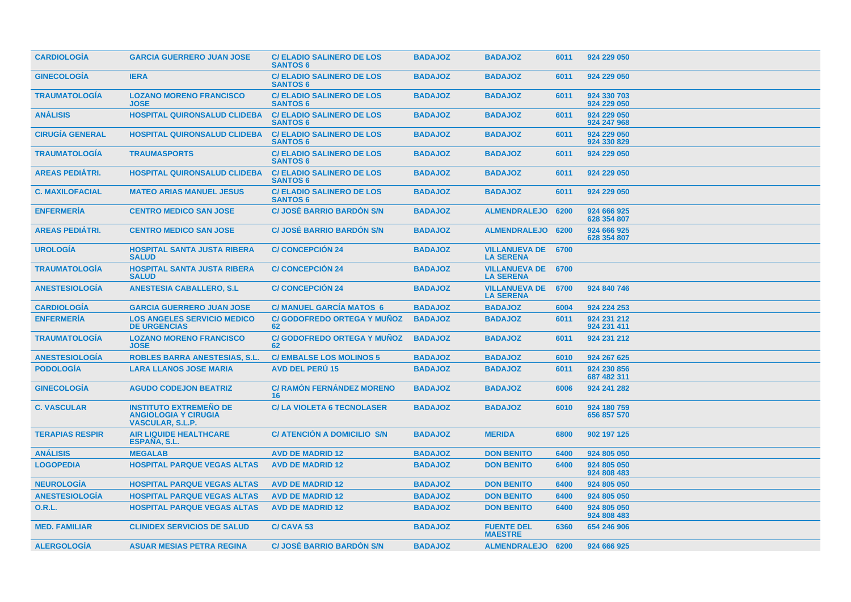| <b>CARDIOLOGIA</b>     | <b>GARCIA GUERRERO JUAN JOSE</b>                                                        | <b>C/ ELADIO SALINERO DE LOS</b><br><b>SANTOS 6</b> | <b>BADAJOZ</b> | <b>BADAJOZ</b>                                | 6011 | 924 229 050                |
|------------------------|-----------------------------------------------------------------------------------------|-----------------------------------------------------|----------------|-----------------------------------------------|------|----------------------------|
| <b>GINECOLOGÍA</b>     | <b>IERA</b>                                                                             | <b>C/ ELADIO SALINERO DE LOS</b><br><b>SANTOS 6</b> | <b>BADAJOZ</b> | <b>BADAJOZ</b>                                | 6011 | 924 229 050                |
| <b>TRAUMATOLOGÍA</b>   | <b>LOZANO MORENO FRANCISCO</b><br><b>JOSE</b>                                           | <b>C/ ELADIO SALINERO DE LOS</b><br><b>SANTOS 6</b> | <b>BADAJOZ</b> | <b>BADAJOZ</b>                                | 6011 | 924 330 703<br>924 229 050 |
| <b>ANÁLISIS</b>        | HOSPITAL QUIRONSALUD CLIDEBA                                                            | <b>C/ ELADIO SALINERO DE LOS</b><br><b>SANTOS 6</b> | <b>BADAJOZ</b> | <b>BADAJOZ</b>                                | 6011 | 924 229 050<br>924 247 968 |
| <b>CIRUGIA GENERAL</b> | <b>HOSPITAL QUIRONSALUD CLIDEBA</b>                                                     | <b>C/ELADIO SALINERO DE LOS</b><br><b>SANTOS 6</b>  | <b>BADAJOZ</b> | <b>BADAJOZ</b>                                | 6011 | 924 229 050<br>924 330 829 |
| <b>TRAUMATOLOGIA</b>   | <b>TRAUMASPORTS</b>                                                                     | <b>C/ELADIO SALINERO DE LOS</b><br><b>SANTOS 6</b>  | <b>BADAJOZ</b> | <b>BADAJOZ</b>                                | 6011 | 924 229 050                |
| <b>AREAS PEDIÁTRI.</b> | <b>HOSPITAL QUIRONSALUD CLIDEBA</b>                                                     | <b>C/ ELADIO SALINERO DE LOS</b><br><b>SANTOS 6</b> | <b>BADAJOZ</b> | <b>BADAJOZ</b>                                | 6011 | 924 229 050                |
| <b>C. MAXILOFACIAL</b> | <b>MATEO ARIAS MANUEL JESUS</b>                                                         | <b>C/ ELADIO SALINERO DE LOS</b><br><b>SANTOS 6</b> | <b>BADAJOZ</b> | <b>BADAJOZ</b>                                | 6011 | 924 229 050                |
| <b>ENFERMERÍA</b>      | <b>CENTRO MEDICO SAN JOSE</b>                                                           | <b>C/ JOSÉ BARRIO BARDON S/N</b>                    | <b>BADAJOZ</b> | ALMENDRALEJO 6200                             |      | 924 666 925<br>628 354 807 |
| <b>AREAS PEDIÁTRI.</b> | <b>CENTRO MEDICO SAN JOSE</b>                                                           | <b>C/ JOSÉ BARRIO BARDON S/N</b>                    | <b>BADAJOZ</b> | <b>ALMENDRALEJO</b>                           | 6200 | 924 666 925<br>628 354 807 |
| <b>UROLOGÍA</b>        | <b>HOSPITAL SANTA JUSTA RIBERA</b><br><b>SALUD</b>                                      | <b>C/CONCEPCIÓN 24</b>                              | <b>BADAJOZ</b> | <b>VILLANUEVA DE</b><br><b>LA SERENA</b>      | 6700 |                            |
| <b>TRAUMATOLOGÍA</b>   | <b>HOSPITAL SANTA JUSTA RIBERA</b><br><b>SALUD</b>                                      | <b>C/ CONCEPCIÓN 24</b>                             | <b>BADAJOZ</b> | <b>VILLANUEVA DE 6700</b><br><b>LA SERENA</b> |      |                            |
| <b>ANESTESIOLOGIA</b>  | <b>ANESTESIA CABALLERO, S.L.</b>                                                        | <b>C/CONCEPCION 24</b>                              | <b>BADAJOZ</b> | <b>VILLANUEVA DE 6700</b><br><b>LA SERENA</b> |      | 924 840 746                |
| <b>CARDIOLOGIA</b>     | <b>GARCIA GUERRERO JUAN JOSE</b>                                                        | <b>C/ MANUEL GARCIA MATOS 6</b>                     | <b>BADAJOZ</b> | <b>BADAJOZ</b>                                | 6004 | 924 224 253                |
| <b>ENFERMERIA</b>      | <b>LOS ANGELES SERVICIO MEDICO</b><br><b>DE URGENCIAS</b>                               | <b>C/ GODOFREDO ORTEGA Y MUÑOZ</b><br>62            | <b>BADAJOZ</b> | <b>BADAJOZ</b>                                | 6011 | 924 231 212<br>924 231 411 |
| <b>TRAUMATOLOGÍA</b>   | <b>LOZANO MORENO FRANCISCO</b><br><b>JOSE</b>                                           | <b>C/GODOFREDO ORTEGA Y MUÑOZ</b><br>62             | <b>BADAJOZ</b> | <b>BADAJOZ</b>                                | 6011 | 924 231 212                |
| <b>ANESTESIOLOGÍA</b>  | <b>ROBLES BARRA ANESTESIAS, S.L.</b>                                                    | <b>C/EMBALSE LOS MOLINOS 5</b>                      | <b>BADAJOZ</b> | <b>BADAJOZ</b>                                | 6010 | 924 267 625                |
| <b>PODOLOGÍA</b>       | <b>LARA LLANOS JOSE MARIA</b>                                                           | <b>AVD DEL PERU 15</b>                              | <b>BADAJOZ</b> | <b>BADAJOZ</b>                                | 6011 | 924 230 856<br>687 482 311 |
| <b>GINECOLOGIA</b>     | <b>AGUDO CODEJON BEATRIZ</b>                                                            | <b>C/ RAMÓN FERNÁNDEZ MORENO</b><br>16              | <b>BADAJOZ</b> | <b>BADAJOZ</b>                                | 6006 | 924 241 282                |
| <b>C. VASCULAR</b>     | <b>INSTITUTO EXTREMEÑO DE</b><br><b>ANGIOLOGIA Y CIRUGIA</b><br><b>VASCULAR, S.L.P.</b> | <b>C/LA VIOLETA 6 TECNOLASER</b>                    | <b>BADAJOZ</b> | <b>BADAJOZ</b>                                | 6010 | 924 180 759<br>656 857 570 |
| <b>TERAPIAS RESPIR</b> | <b>AIR LIQUIDE HEALTHCARE</b><br><b>ESPANA, S.L.</b>                                    | C/ ATENCIÓN A DOMICILIO S/N                         | <b>BADAJOZ</b> | <b>MERIDA</b>                                 | 6800 | 902 197 125                |
| <b>ANALISIS</b>        | <b>MEGALAB</b>                                                                          | <b>AVD DE MADRID 12</b>                             | <b>BADAJOZ</b> | <b>DON BENITO</b>                             | 6400 | 924 805 050                |
| <b>LOGOPEDIA</b>       | <b>HOSPITAL PARQUE VEGAS ALTAS</b>                                                      | <b>AVD DE MADRID 12</b>                             | <b>BADAJOZ</b> | <b>DON BENITO</b>                             | 6400 | 924 805 050<br>924 808 483 |
| <b>NEUROLOGIA</b>      | <b>HOSPITAL PARQUE VEGAS ALTAS</b>                                                      | <b>AVD DE MADRID 12</b>                             | <b>BADAJOZ</b> | <b>DON BENITO</b>                             | 6400 | 924 805 050                |
| <b>ANESTESIOLOGÍA</b>  | <b>HOSPITAL PARQUE VEGAS ALTAS</b>                                                      | <b>AVD DE MADRID 12</b>                             | <b>BADAJOZ</b> | <b>DON BENITO</b>                             | 6400 | 924 805 050                |
| <b>O.R.L.</b>          | <b>HOSPITAL PARQUE VEGAS ALTAS</b>                                                      | <b>AVD DE MADRID 12</b>                             | <b>BADAJOZ</b> | <b>DON BENITO</b>                             | 6400 | 924 805 050<br>924 808 483 |
| <b>MED. FAMILIAR</b>   | <b>CLINIDEX SERVICIOS DE SALUD</b>                                                      | C/CAVA <sub>53</sub>                                | <b>BADAJOZ</b> | <b>FUENTE DEL</b><br><b>MAESTRE</b>           | 6360 | 654 246 906                |
| <b>ALERGOLOGÍA</b>     | <b>ASUAR MESIAS PETRA REGINA</b>                                                        | <b>C/ JOSÉ BARRIO BARDÓN S/N</b>                    | <b>BADAJOZ</b> | ALMENDRALEJO 6200                             |      | 924 666 925                |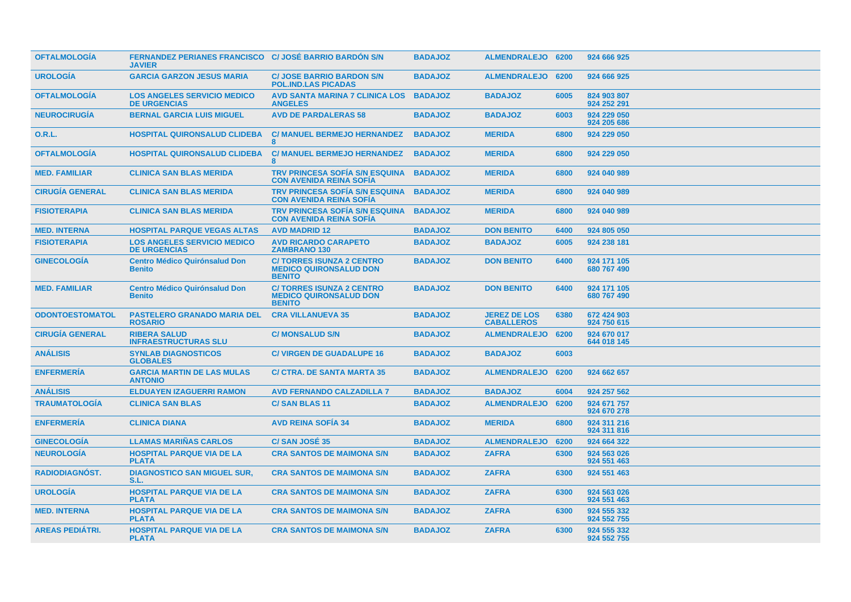| <b>OFTALMOLOGIA</b>    | FERNANDEZ PERIANES FRANCISCO C/ JOSÉ BARRIO BARDÓN S/N<br><b>JAVIER</b> |                                                                                   | <b>BADAJOZ</b> | ALMENDRALEJO 6200                        |      | 924 666 925                |
|------------------------|-------------------------------------------------------------------------|-----------------------------------------------------------------------------------|----------------|------------------------------------------|------|----------------------------|
| <b>UROLOGIA</b>        | <b>GARCIA GARZON JESUS MARIA</b>                                        | <b>C/ JOSE BARRIO BARDON S/N</b><br><b>POL.IND.LAS PICADAS</b>                    | <b>BADAJOZ</b> | ALMENDRALEJO 6200                        |      | 924 666 925                |
| <b>OFTALMOLOGIA</b>    | <b>LOS ANGELES SERVICIO MEDICO</b><br><b>DE URGENCIAS</b>               | AVD SANTA MARINA 7 CLINICA LOS<br><b>ANGELES</b>                                  | <b>BADAJOZ</b> | <b>BADAJOZ</b>                           | 6005 | 824 903 807<br>924 252 291 |
| <b>NEUROCIRUGÍA</b>    | <b>BERNAL GARCIA LUIS MIGUEL</b>                                        | <b>AVD DE PARDALERAS 58</b>                                                       | <b>BADAJOZ</b> | <b>BADAJOZ</b>                           | 6003 | 924 229 050<br>924 205 686 |
| <b>O.R.L.</b>          | <b>HOSPITAL QUIRONSALUD CLIDEBA</b>                                     | <b>C/ MANUEL BERMEJO HERNANDEZ</b><br>8                                           | <b>BADAJOZ</b> | <b>MERIDA</b>                            | 6800 | 924 229 050                |
| <b>OFTALMOLOGÍA</b>    | <b>HOSPITAL QUIRONSALUD CLIDEBA</b>                                     | <b>C/ MANUEL BERMEJO HERNANDEZ</b><br>8                                           | <b>BADAJOZ</b> | <b>MERIDA</b>                            | 6800 | 924 229 050                |
| <b>MED. FAMILIAR</b>   | <b>CLINICA SAN BLAS MERIDA</b>                                          | <b>TRV PRINCESA SOFÍA S/N ESQUINA</b><br><b>CON AVENIDA REINA SOFIA</b>           | <b>BADAJOZ</b> | <b>MERIDA</b>                            | 6800 | 924 040 989                |
| <b>CIRUGÍA GENERAL</b> | <b>CLINICA SAN BLAS MERIDA</b>                                          | <b>TRV PRINCESA SOFÍA S/N ESQUINA</b><br><b>CON AVENIDA REINA SOFIA</b>           | <b>BADAJOZ</b> | <b>MERIDA</b>                            | 6800 | 924 040 989                |
| <b>FISIOTERAPIA</b>    | <b>CLINICA SAN BLAS MERIDA</b>                                          | <b>TRV PRINCESA SOFÍA S/N ESQUINA</b><br><b>CON AVENIDA REINA SOFIA</b>           | <b>BADAJOZ</b> | <b>MERIDA</b>                            | 6800 | 924 040 989                |
| <b>MED. INTERNA</b>    | <b>HOSPITAL PARQUE VEGAS ALTAS</b>                                      | <b>AVD MADRID 12</b>                                                              | <b>BADAJOZ</b> | <b>DON BENITO</b>                        | 6400 | 924 805 050                |
| <b>FISIOTERAPIA</b>    | <b>LOS ANGELES SERVICIO MEDICO</b><br><b>DE URGENCIAS</b>               | <b>AVD RICARDO CARAPETO</b><br><b>ZAMBRANO 130</b>                                | <b>BADAJOZ</b> | <b>BADAJOZ</b>                           | 6005 | 924 238 181                |
| <b>GINECOLOGIA</b>     | <b>Centro Médico Quirónsalud Don</b><br><b>Benito</b>                   | <b>C/TORRES ISUNZA 2 CENTRO</b><br><b>MEDICO QUIRONSALUD DON</b><br><b>BENITO</b> | <b>BADAJOZ</b> | <b>DON BENITO</b>                        | 6400 | 924 171 105<br>680 767 490 |
| <b>MED. FAMILIAR</b>   | <b>Centro Médico Quirónsalud Don</b><br><b>Benito</b>                   | <b>C/TORRES ISUNZA 2 CENTRO</b><br><b>MEDICO QUIRONSALUD DON</b><br><b>BENITO</b> | <b>BADAJOZ</b> | <b>DON BENITO</b>                        | 6400 | 924 171 105<br>680 767 490 |
| <b>ODONTOESTOMATOL</b> | <b>PASTELERO GRANADO MARIA DEL</b><br><b>ROSARIO</b>                    | <b>CRA VILLANUEVA 35</b>                                                          | <b>BADAJOZ</b> | <b>JEREZ DE LOS</b><br><b>CABALLEROS</b> | 6380 | 672 424 903<br>924 750 615 |
| <b>CIRUGIA GENERAL</b> | <b>RIBERA SALUD</b><br><b>INFRAESTRUCTURAS SLU</b>                      | <b>C/ MONSALUD S/N</b>                                                            | <b>BADAJOZ</b> | <b>ALMENDRALEJO</b>                      | 6200 | 924 670 017<br>644 018 145 |
| <b>ANALISIS</b>        | <b>SYNLAB DIAGNOSTICOS</b><br><b>GLOBALES</b>                           | <b>C/ VIRGEN DE GUADALUPE 16</b>                                                  | <b>BADAJOZ</b> | <b>BADAJOZ</b>                           | 6003 |                            |
| <b>ENFERMERIA</b>      | <b>GARCIA MARTIN DE LAS MULAS</b><br><b>ANTONIO</b>                     | <b>C/ CTRA. DE SANTA MARTA 35</b>                                                 | <b>BADAJOZ</b> | ALMENDRALEJO 6200                        |      | 924 662 657                |
| <b>ANÁLISIS</b>        | <b>ELDUAYEN IZAGUERRI RAMON</b>                                         | <b>AVD FERNANDO CALZADILLA 7</b>                                                  | <b>BADAJOZ</b> | <b>BADAJOZ</b>                           | 6004 | 924 257 562                |
| <b>TRAUMATOLOGÍA</b>   | <b>CLINICA SAN BLAS</b>                                                 | <b>C/SAN BLAS 11</b>                                                              | <b>BADAJOZ</b> | <b>ALMENDRALEJO</b>                      | 6200 | 924 671 757<br>924 670 278 |
| <b>ENFERMERÍA</b>      | <b>CLINICA DIANA</b>                                                    | <b>AVD REINA SOFIA 34</b>                                                         | <b>BADAJOZ</b> | <b>MERIDA</b>                            | 6800 | 924 311 216<br>924 311 816 |
| <b>GINECOLOGÍA</b>     | <b>LLAMAS MARIÑAS CARLOS</b>                                            | C/SAN JOSÉ 35                                                                     | <b>BADAJOZ</b> | <b>ALMENDRALEJO</b>                      | 6200 | 924 664 322                |
| <b>NEUROLOGÍA</b>      | <b>HOSPITAL PARQUE VIA DE LA</b><br><b>PLATA</b>                        | <b>CRA SANTOS DE MAIMONA S/N</b>                                                  | <b>BADAJOZ</b> | <b>ZAFRA</b>                             | 6300 | 924 563 026<br>924 551 463 |
| <b>RADIODIAGNOST.</b>  | <b>DIAGNOSTICO SAN MIGUEL SUR,</b><br>S.L.                              | <b>CRA SANTOS DE MAIMONA S/N</b>                                                  | <b>BADAJOZ</b> | <b>ZAFRA</b>                             | 6300 | 924 551 463                |
| <b>UROLOGIA</b>        | <b>HOSPITAL PARQUE VIA DE LA</b><br><b>PLATA</b>                        | <b>CRA SANTOS DE MAIMONA S/N</b>                                                  | <b>BADAJOZ</b> | <b>ZAFRA</b>                             | 6300 | 924 563 026<br>924 551 463 |
| <b>MED. INTERNA</b>    | <b>HOSPITAL PARQUE VIA DE LA</b><br><b>PLATA</b>                        | <b>CRA SANTOS DE MAIMONA S/N</b>                                                  | <b>BADAJOZ</b> | <b>ZAFRA</b>                             | 6300 | 924 555 332<br>924 552 755 |
| <b>AREAS PEDIÁTRI.</b> | <b>HOSPITAL PARQUE VIA DE LA</b><br><b>PLATA</b>                        | <b>CRA SANTOS DE MAIMONA S/N</b>                                                  | <b>BADAJOZ</b> | <b>ZAFRA</b>                             | 6300 | 924 555 332<br>924 552 755 |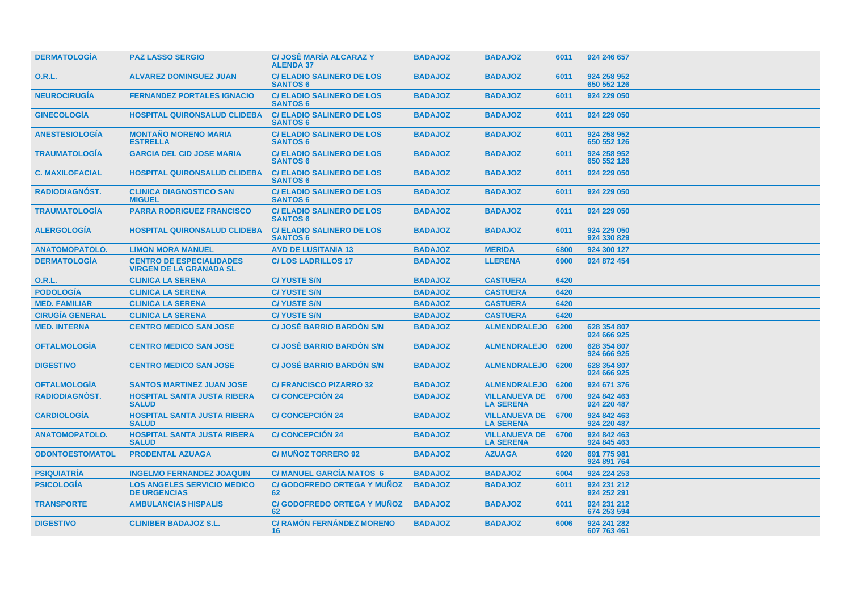| <b>DERMATOLOGIA</b>    | <b>PAZ LASSO SERGIO</b>                                           | <b>C/ JOSÉ MARÍA ALCARAZ Y</b><br><b>ALENDA 37</b>  | <b>BADAJOZ</b> | <b>BADAJOZ</b>                                | 6011 | 924 246 657                |
|------------------------|-------------------------------------------------------------------|-----------------------------------------------------|----------------|-----------------------------------------------|------|----------------------------|
| 0.R.L.                 | <b>ALVAREZ DOMINGUEZ JUAN</b>                                     | <b>C/ ELADIO SALINERO DE LOS</b><br><b>SANTOS 6</b> | <b>BADAJOZ</b> | <b>BADAJOZ</b>                                | 6011 | 924 258 952<br>650 552 126 |
| <b>NEUROCIRUGIA</b>    | <b>FERNANDEZ PORTALES IGNACIO</b>                                 | <b>C/ ELADIO SALINERO DE LOS</b><br><b>SANTOS 6</b> | <b>BADAJOZ</b> | <b>BADAJOZ</b>                                | 6011 | 924 229 050                |
| <b>GINECOLOGIA</b>     | <b>HOSPITAL QUIRONSALUD CLIDEBA</b>                               | <b>C/ ELADIO SALINERO DE LOS</b><br><b>SANTOS 6</b> | <b>BADAJOZ</b> | <b>BADAJOZ</b>                                | 6011 | 924 229 050                |
| <b>ANESTESIOLOGIA</b>  | <b>MONTAÑO MORENO MARIA</b><br><b>ESTRELLA</b>                    | <b>C/ ELADIO SALINERO DE LOS</b><br><b>SANTOS 6</b> | <b>BADAJOZ</b> | <b>BADAJOZ</b>                                | 6011 | 924 258 952<br>650 552 126 |
| <b>TRAUMATOLOGIA</b>   | <b>GARCIA DEL CID JOSE MARIA</b>                                  | <b>C/ ELADIO SALINERO DE LOS</b><br><b>SANTOS 6</b> | <b>BADAJOZ</b> | <b>BADAJOZ</b>                                | 6011 | 924 258 952<br>650 552 126 |
| <b>C. MAXILOFACIAL</b> | <b>HOSPITAL QUIRONSALUD CLIDEBA</b>                               | <b>C/ ELADIO SALINERO DE LOS</b><br><b>SANTOS 6</b> | <b>BADAJOZ</b> | <b>BADAJOZ</b>                                | 6011 | 924 229 050                |
| <b>RADIODIAGNÓST.</b>  | <b>CLINICA DIAGNOSTICO SAN</b><br><b>MIGUEL</b>                   | <b>C/ELADIO SALINERO DE LOS</b><br><b>SANTOS 6</b>  | <b>BADAJOZ</b> | <b>BADAJOZ</b>                                | 6011 | 924 229 050                |
| <b>TRAUMATOLOGIA</b>   | <b>PARRA RODRIGUEZ FRANCISCO</b>                                  | <b>C/ ELADIO SALINERO DE LOS</b><br><b>SANTOS 6</b> | <b>BADAJOZ</b> | <b>BADAJOZ</b>                                | 6011 | 924 229 050                |
| <b>ALERGOLOGÍA</b>     | <b>HOSPITAL QUIRONSALUD CLIDEBA</b>                               | <b>C/ ELADIO SALINERO DE LOS</b><br><b>SANTOS 6</b> | <b>BADAJOZ</b> | <b>BADAJOZ</b>                                | 6011 | 924 229 050<br>924 330 829 |
| <b>ANATOMOPATOLO.</b>  | <b>LIMON MORA MANUEL</b>                                          | <b>AVD DE LUSITANIA 13</b>                          | <b>BADAJOZ</b> | <b>MERIDA</b>                                 | 6800 | 924 300 127                |
| <b>DERMATOLOGÍA</b>    | <b>CENTRO DE ESPECIALIDADES</b><br><b>VIRGEN DE LA GRANADA SL</b> | <b>C/LOS LADRILLOS 17</b>                           | <b>BADAJOZ</b> | <b>LLERENA</b>                                | 6900 | 924 872 454                |
| 0.R.L.                 | <b>CLINICA LA SERENA</b>                                          | <b>C/YUSTE S/N</b>                                  | <b>BADAJOZ</b> | <b>CASTUERA</b>                               | 6420 |                            |
| <b>PODOLOGÍA</b>       | <b>CLINICA LA SERENA</b>                                          | <b>C/YUSTE S/N</b>                                  | <b>BADAJOZ</b> | <b>CASTUERA</b>                               | 6420 |                            |
| <b>MED. FAMILIAR</b>   | <b>CLINICA LA SERENA</b>                                          | <b>C/YUSTE S/N</b>                                  | <b>BADAJOZ</b> | <b>CASTUERA</b>                               | 6420 |                            |
| <b>CIRUGIA GENERAL</b> | <b>CLINICA LA SERENA</b>                                          | <b>C/YUSTE S/N</b>                                  | <b>BADAJOZ</b> | <b>CASTUERA</b>                               | 6420 |                            |
| <b>MED. INTERNA</b>    | <b>CENTRO MEDICO SAN JOSE</b>                                     | <b>C/ JOSÉ BARRIO BARDÓN S/N</b>                    | <b>BADAJOZ</b> | <b>ALMENDRALEJO</b>                           | 6200 | 628 354 807<br>924 666 925 |
| <b>OFTALMOLOGÍA</b>    | <b>CENTRO MEDICO SAN JOSE</b>                                     | <b>C/ JOSÉ BARRIO BARDON S/N</b>                    | <b>BADAJOZ</b> | ALMENDRALEJO 6200                             |      | 628 354 807<br>924 666 925 |
| <b>DIGESTIVO</b>       | <b>CENTRO MEDICO SAN JOSE</b>                                     | <b>C/ JOSÉ BARRIO BARDON S/N</b>                    | <b>BADAJOZ</b> | ALMENDRALEJO 6200                             |      | 628 354 807<br>924 666 925 |
| <b>OFTALMOLOGÍA</b>    | <b>SANTOS MARTINEZ JUAN JOSE</b>                                  | <b>C/ FRANCISCO PIZARRO 32</b>                      | <b>BADAJOZ</b> | ALMENDRALEJO 6200                             |      | 924 671 376                |
| <b>RADIODIAGNOST.</b>  | <b>HOSPITAL SANTA JUSTA RIBERA</b><br><b>SALUD</b>                | <b>C/CONCEPCIÓN 24</b>                              | <b>BADAJOZ</b> | <b>VILLANUEVA DE</b><br><b>LA SERENA</b>      | 6700 | 924 842 463<br>924 220 487 |
| <b>CARDIOLOGÍA</b>     | <b>HOSPITAL SANTA JUSTA RIBERA</b><br><b>SALUD</b>                | <b>C/CONCEPCIÓN 24</b>                              | <b>BADAJOZ</b> | <b>VILLANUEVA DE 6700</b><br><b>LA SERENA</b> |      | 924 842 463<br>924 220 487 |
| <b>ANATOMOPATOLO.</b>  | <b>HOSPITAL SANTA JUSTA RIBERA</b><br><b>SALUD</b>                | <b>C/CONCEPCIÓN 24</b>                              | <b>BADAJOZ</b> | <b>VILLANUEVA DE</b><br><b>LA SERENA</b>      | 6700 | 924 842 463<br>924 845 463 |
| <b>ODONTOESTOMATOL</b> | <b>PRODENTAL AZUAGA</b>                                           | <b>C/ MUÑOZ TORRERO 92</b>                          | <b>BADAJOZ</b> | <b>AZUAGA</b>                                 | 6920 | 691 775 981<br>924 891 764 |
| <b>PSIQUIATRIA</b>     | <b>INGELMO FERNANDEZ JOAQUIN</b>                                  | <b>C/ MANUEL GARCIA MATOS 6</b>                     | <b>BADAJOZ</b> | <b>BADAJOZ</b>                                | 6004 | 924 224 253                |
| <b>PSICOLOGIA</b>      | <b>LOS ANGELES SERVICIO MEDICO</b><br><b>DE URGENCIAS</b>         | <b>C/ GODOFREDO ORTEGA Y MUNOZ</b><br>62            | <b>BADAJOZ</b> | <b>BADAJOZ</b>                                | 6011 | 924 231 212<br>924 252 291 |
| <b>TRANSPORTE</b>      | <b>AMBULANCIAS HISPALIS</b>                                       | <b>C/ GODOFREDO ORTEGA Y MUNOZ</b><br>62            | <b>BADAJOZ</b> | <b>BADAJOZ</b>                                | 6011 | 924 231 212<br>674 253 594 |
| <b>DIGESTIVO</b>       | <b>CLINIBER BADAJOZ S.L.</b>                                      | <b>C/ RAMÓN FERNÁNDEZ MORENO</b><br>16              | <b>BADAJOZ</b> | <b>BADAJOZ</b>                                | 6006 | 924 241 282<br>607 763 461 |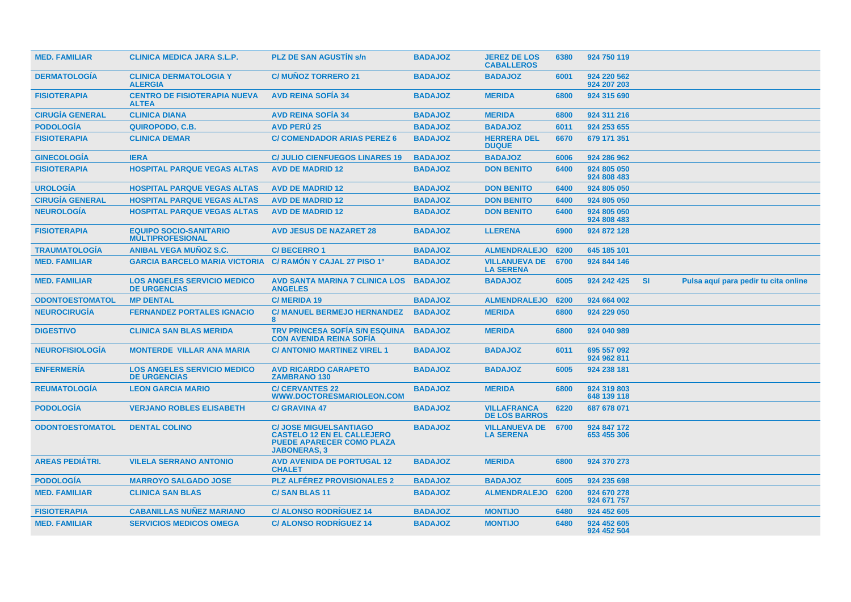| <b>MED. FAMILIAR</b>   | <b>CLINICA MEDICA JARA S.L.P.</b>                         | <b>PLZ DE SAN AGUSTIN s/n</b>                                                                                                 | <b>BADAJOZ</b> | <b>JEREZ DE LOS</b><br><b>CABALLEROS</b>   | 6380 | 924 750 119                |           |                                      |
|------------------------|-----------------------------------------------------------|-------------------------------------------------------------------------------------------------------------------------------|----------------|--------------------------------------------|------|----------------------------|-----------|--------------------------------------|
| <b>DERMATOLOGIA</b>    | <b>CLINICA DERMATOLOGIA Y</b><br><b>ALERGIA</b>           | <b>C/ MUNOZ TORRERO 21</b>                                                                                                    | <b>BADAJOZ</b> | <b>BADAJOZ</b>                             | 6001 | 924 220 562<br>924 207 203 |           |                                      |
| <b>FISIOTERAPIA</b>    | <b>CENTRO DE FISIOTERAPIA NUEVA</b><br><b>ALTEA</b>       | <b>AVD REINA SOFIA 34</b>                                                                                                     | <b>BADAJOZ</b> | <b>MERIDA</b>                              | 6800 | 924 315 690                |           |                                      |
| <b>CIRUGÍA GENERAL</b> | <b>CLINICA DIANA</b>                                      | <b>AVD REINA SOFIA 34</b>                                                                                                     | <b>BADAJOZ</b> | <b>MERIDA</b>                              | 6800 | 924 311 216                |           |                                      |
| <b>PODOLOGÍA</b>       | QUIROPODO, C.B.                                           | <b>AVD PERU 25</b>                                                                                                            | <b>BADAJOZ</b> | <b>BADAJOZ</b>                             | 6011 | 924 253 655                |           |                                      |
| <b>FISIOTERAPIA</b>    | <b>CLINICA DEMAR</b>                                      | <b>C/ COMENDADOR ARIAS PEREZ 6</b>                                                                                            | <b>BADAJOZ</b> | <b>HERRERA DEL</b><br><b>DUQUE</b>         | 6670 | 679 171 351                |           |                                      |
| <b>GINECOLOGÍA</b>     | <b>IERA</b>                                               | <b>C/ JULIO CIENFUEGOS LINARES 19</b>                                                                                         | <b>BADAJOZ</b> | <b>BADAJOZ</b>                             | 6006 | 924 286 962                |           |                                      |
| <b>FISIOTERAPIA</b>    | <b>HOSPITAL PARQUE VEGAS ALTAS</b>                        | <b>AVD DE MADRID 12</b>                                                                                                       | <b>BADAJOZ</b> | <b>DON BENITO</b>                          | 6400 | 924 805 050<br>924 808 483 |           |                                      |
| <b>UROLOGÍA</b>        | <b>HOSPITAL PARQUE VEGAS ALTAS</b>                        | <b>AVD DE MADRID 12</b>                                                                                                       | <b>BADAJOZ</b> | <b>DON BENITO</b>                          | 6400 | 924 805 050                |           |                                      |
| <b>CIRUGÍA GENERAL</b> | <b>HOSPITAL PARQUE VEGAS ALTAS</b>                        | <b>AVD DE MADRID 12</b>                                                                                                       | <b>BADAJOZ</b> | <b>DON BENITO</b>                          | 6400 | 924 805 050                |           |                                      |
| <b>NEUROLOGÍA</b>      | <b>HOSPITAL PARQUE VEGAS ALTAS</b>                        | <b>AVD DE MADRID 12</b>                                                                                                       | <b>BADAJOZ</b> | <b>DON BENITO</b>                          | 6400 | 924 805 050<br>924 808 483 |           |                                      |
| <b>FISIOTERAPIA</b>    | <b>EQUIPO SOCIO-SANITARIO</b><br><b>MULTIPROFESIONAL</b>  | <b>AVD JESUS DE NAZARET 28</b>                                                                                                | <b>BADAJOZ</b> | <b>LLERENA</b>                             | 6900 | 924 872 128                |           |                                      |
| <b>TRAUMATOLOGIA</b>   | <b>ANIBAL VEGA MUNOZ S.C.</b>                             | <b>C/BECERRO1</b>                                                                                                             | <b>BADAJOZ</b> | <b>ALMENDRALEJO</b>                        | 6200 | 645 185 101                |           |                                      |
| <b>MED. FAMILIAR</b>   | <b>GARCIA BARCELO MARIA VICTORIA</b>                      | C/ RAMON Y CAJAL 27 PISO 1º                                                                                                   | <b>BADAJOZ</b> | <b>VILLANUEVA DE</b><br><b>LA SERENA</b>   | 6700 | 924 844 146                |           |                                      |
| <b>MED. FAMILIAR</b>   | <b>LOS ANGELES SERVICIO MEDICO</b><br><b>DE URGENCIAS</b> | <b>AVD SANTA MARINA 7 CLINICA LOS</b><br><b>ANGELES</b>                                                                       | <b>BADAJOZ</b> | <b>BADAJOZ</b>                             | 6005 | 924 242 425                | <b>SI</b> | Pulsa aquí para pedir tu cita online |
| <b>ODONTOESTOMATOL</b> | <b>MP DENTAL</b>                                          | <b>C/MERIDA 19</b>                                                                                                            | <b>BADAJOZ</b> | <b>ALMENDRALEJO</b>                        | 6200 | 924 664 002                |           |                                      |
| <b>NEUROCIRUGÍA</b>    | <b>FERNANDEZ PORTALES IGNACIO</b>                         | <b>C/ MANUEL BERMEJO HERNANDEZ</b><br>8                                                                                       | <b>BADAJOZ</b> | <b>MERIDA</b>                              | 6800 | 924 229 050                |           |                                      |
| <b>DIGESTIVO</b>       | <b>CLINICA SAN BLAS MERIDA</b>                            | <b>TRV PRINCESA SOFÍA S/N ESQUINA</b><br><b>CON AVENIDA REINA SOFIA</b>                                                       | <b>BADAJOZ</b> | <b>MERIDA</b>                              | 6800 | 924 040 989                |           |                                      |
| <b>NEUROFISIOLOGÍA</b> | <b>MONTERDE VILLAR ANA MARIA</b>                          | <b>C/ ANTONIO MARTINEZ VIREL 1</b>                                                                                            | <b>BADAJOZ</b> | <b>BADAJOZ</b>                             | 6011 | 695 557 092<br>924 962 811 |           |                                      |
| <b>ENFERMERIA</b>      | <b>LOS ANGELES SERVICIO MEDICO</b><br><b>DE URGENCIAS</b> | <b>AVD RICARDO CARAPETO</b><br><b>ZAMBRANO 130</b>                                                                            | <b>BADAJOZ</b> | <b>BADAJOZ</b>                             | 6005 | 924 238 181                |           |                                      |
| <b>REUMATOLOGIA</b>    | <b>LEON GARCIA MARIO</b>                                  | <b>C/ CERVANTES 22</b><br>WWW.DOCTORESMARIOLEON.COM                                                                           | <b>BADAJOZ</b> | <b>MERIDA</b>                              | 6800 | 924 319 803<br>648 139 118 |           |                                      |
| <b>PODOLOGIA</b>       | <b>VERJANO ROBLES ELISABETH</b>                           | <b>C/ GRAVINA 47</b>                                                                                                          | <b>BADAJOZ</b> | <b>VILLAFRANCA</b><br><b>DE LOS BARROS</b> | 6220 | 687 678 071                |           |                                      |
| <b>ODONTOESTOMATOL</b> | <b>DENTAL COLINO</b>                                      | <b>C/ JOSE MIGUELSANTIAGO</b><br><b>CASTELO 12 EN EL CALLEJERO</b><br><b>PUEDE APARECER COMO PLAZA</b><br><b>JABONERAS, 3</b> | <b>BADAJOZ</b> | <b>VILLANUEVA DE</b><br><b>LA SERENA</b>   | 6700 | 924 847 172<br>653 455 306 |           |                                      |
| <b>AREAS PEDIÁTRI.</b> | <b>VILELA SERRANO ANTONIO</b>                             | <b>AVD AVENIDA DE PORTUGAL 12</b><br><b>CHALET</b>                                                                            | <b>BADAJOZ</b> | <b>MERIDA</b>                              | 6800 | 924 370 273                |           |                                      |
| <b>PODOLOGÍA</b>       | <b>MARROYO SALGADO JOSE</b>                               | <b>PLZ ALFÉREZ PROVISIONALES 2</b>                                                                                            | <b>BADAJOZ</b> | <b>BADAJOZ</b>                             | 6005 | 924 235 698                |           |                                      |
| <b>MED. FAMILIAR</b>   | <b>CLINICA SAN BLAS</b>                                   | <b>C/SAN BLAS 11</b>                                                                                                          | <b>BADAJOZ</b> | <b>ALMENDRALEJO</b>                        | 6200 | 924 670 278<br>924 671 757 |           |                                      |
| <b>FISIOTERAPIA</b>    | <b>CABANILLAS NUÑEZ MARIANO</b>                           | <b>C/ ALONSO RODRIGUEZ 14</b>                                                                                                 | <b>BADAJOZ</b> | <b>MONTIJO</b>                             | 6480 | 924 452 605                |           |                                      |
| <b>MED. FAMILIAR</b>   | <b>SERVICIOS MEDICOS OMEGA</b>                            | <b>C/ALONSO RODRIGUEZ 14</b>                                                                                                  | <b>BADAJOZ</b> | <b>MONTIJO</b>                             | 6480 | 924 452 605<br>924 452 504 |           |                                      |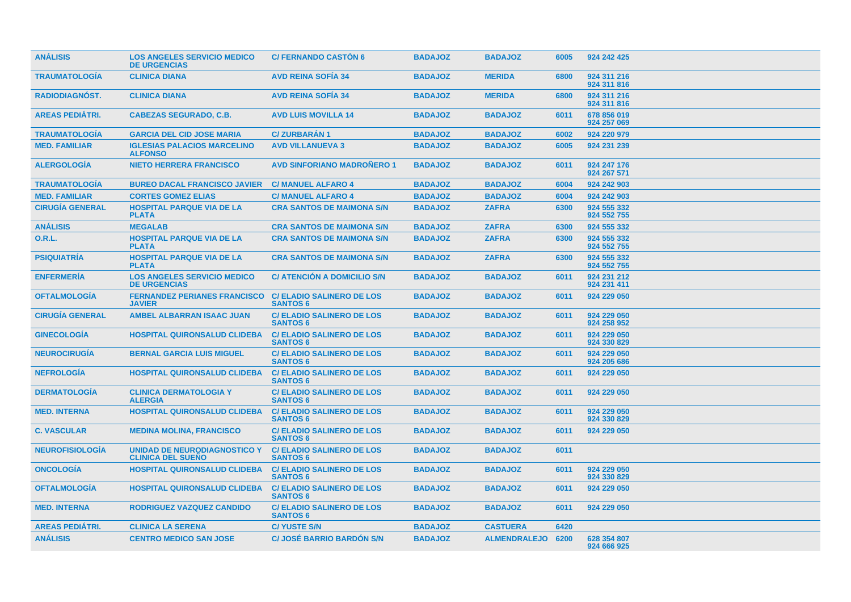| <b>ANÁLISIS</b>        | <b>LOS ANGELES SERVICIO MEDICO</b><br><b>DE URGENCIAS</b>       | <b>C/ FERNANDO CASTÓN 6</b>                         | <b>BADAJOZ</b> | <b>BADAJOZ</b>    | 6005 | 924 242 425                |
|------------------------|-----------------------------------------------------------------|-----------------------------------------------------|----------------|-------------------|------|----------------------------|
| <b>TRAUMATOLOGIA</b>   | <b>CLINICA DIANA</b>                                            | <b>AVD REINA SOFIA 34</b>                           | <b>BADAJOZ</b> | <b>MERIDA</b>     | 6800 | 924 311 216<br>924 311 816 |
| <b>RADIODIAGNÓST.</b>  | <b>CLINICA DIANA</b>                                            | <b>AVD REINA SOFIA 34</b>                           | <b>BADAJOZ</b> | <b>MERIDA</b>     | 6800 | 924 311 216<br>924 311 816 |
| <b>AREAS PEDIATRI.</b> | <b>CABEZAS SEGURADO, C.B.</b>                                   | <b>AVD LUIS MOVILLA 14</b>                          | <b>BADAJOZ</b> | <b>BADAJOZ</b>    | 6011 | 678 856 019<br>924 257 069 |
| <b>TRAUMATOLOGIA</b>   | <b>GARCIA DEL CID JOSE MARIA</b>                                | <b>C/ZURBARAN1</b>                                  | <b>BADAJOZ</b> | <b>BADAJOZ</b>    | 6002 | 924 220 979                |
| <b>MED. FAMILIAR</b>   | <b>IGLESIAS PALACIOS MARCELINO</b><br><b>ALFONSO</b>            | <b>AVD VILLANUEVA 3</b>                             | <b>BADAJOZ</b> | <b>BADAJOZ</b>    | 6005 | 924 231 239                |
| <b>ALERGOLOGÍA</b>     | <b>NIETO HERRERA FRANCISCO</b>                                  | <b>AVD SINFORIANO MADRONERO 1</b>                   | <b>BADAJOZ</b> | <b>BADAJOZ</b>    | 6011 | 924 247 176<br>924 267 571 |
| <b>TRAUMATOLOGIA</b>   | <b>BUREO DACAL FRANCISCO JAVIER</b>                             | <b>C/ MANUEL ALFARO 4</b>                           | <b>BADAJOZ</b> | <b>BADAJOZ</b>    | 6004 | 924 242 903                |
| <b>MED. FAMILIAR</b>   | <b>CORTES GOMEZ ELIAS</b>                                       | <b>C/MANUEL ALFARO 4</b>                            | <b>BADAJOZ</b> | <b>BADAJOZ</b>    | 6004 | 924 242 903                |
| <b>CIRUGIA GENERAL</b> | <b>HOSPITAL PARQUE VIA DE LA</b><br><b>PLATA</b>                | <b>CRA SANTOS DE MAIMONA S/N</b>                    | <b>BADAJOZ</b> | <b>ZAFRA</b>      | 6300 | 924 555 332<br>924 552 755 |
| <b>ANÁLISIS</b>        | <b>MEGALAB</b>                                                  | <b>CRA SANTOS DE MAIMONA S/N</b>                    | <b>BADAJOZ</b> | <b>ZAFRA</b>      | 6300 | 924 555 332                |
| <b>O.R.L.</b>          | <b>HOSPITAL PARQUE VIA DE LA</b><br><b>PLATA</b>                | <b>CRA SANTOS DE MAIMONA S/N</b>                    | <b>BADAJOZ</b> | <b>ZAFRA</b>      | 6300 | 924 555 332<br>924 552 755 |
| <b>PSIQUIATRIA</b>     | <b>HOSPITAL PARQUE VIA DE LA</b><br><b>PLATA</b>                | <b>CRA SANTOS DE MAIMONA S/N</b>                    | <b>BADAJOZ</b> | <b>ZAFRA</b>      | 6300 | 924 555 332<br>924 552 755 |
| <b>ENFERMERÍA</b>      | <b>LOS ANGELES SERVICIO MEDICO</b><br><b>DE URGENCIAS</b>       | <b>C/ ATENCIÓN A DOMICILIO S/N</b>                  | <b>BADAJOZ</b> | <b>BADAJOZ</b>    | 6011 | 924 231 212<br>924 231 411 |
| <b>OFTALMOLOGÍA</b>    | <b>FERNANDEZ PERIANES FRANCISCO</b><br><b>JAVIER</b>            | <b>C/ ELADIO SALINERO DE LOS</b><br><b>SANTOS 6</b> | <b>BADAJOZ</b> | <b>BADAJOZ</b>    | 6011 | 924 229 050                |
| <b>CIRUGÍA GENERAL</b> | <b>AMBEL ALBARRAN ISAAC JUAN</b>                                | <b>C/ELADIO SALINERO DE LOS</b><br><b>SANTOS 6</b>  | <b>BADAJOZ</b> | <b>BADAJOZ</b>    | 6011 | 924 229 050<br>924 258 952 |
| <b>GINECOLOGIA</b>     | <b>HOSPITAL QUIRONSALUD CLIDEBA</b>                             | <b>C/ ELADIO SALINERO DE LOS</b><br><b>SANTOS 6</b> | <b>BADAJOZ</b> | <b>BADAJOZ</b>    | 6011 | 924 229 050<br>924 330 829 |
| <b>NEUROCIRUGÍA</b>    | <b>BERNAL GARCIA LUIS MIGUEL</b>                                | <b>C/ ELADIO SALINERO DE LOS</b><br><b>SANTOS 6</b> | <b>BADAJOZ</b> | <b>BADAJOZ</b>    | 6011 | 924 229 050<br>924 205 686 |
| <b>NEFROLOGÍA</b>      | <b>HOSPITAL QUIRONSALUD CLIDEBA</b>                             | <b>C/ELADIO SALINERO DE LOS</b><br><b>SANTOS 6</b>  | <b>BADAJOZ</b> | <b>BADAJOZ</b>    | 6011 | 924 229 050                |
| <b>DERMATOLOGIA</b>    | <b>CLINICA DERMATOLOGIA Y</b><br><b>ALERGIA</b>                 | <b>C/ELADIO SALINERO DE LOS</b><br><b>SANTOS 6</b>  | <b>BADAJOZ</b> | <b>BADAJOZ</b>    | 6011 | 924 229 050                |
| <b>MED. INTERNA</b>    | <b>HOSPITAL QUIRONSALUD CLIDEBA</b>                             | <b>C/ ELADIO SALINERO DE LOS</b><br><b>SANTOS 6</b> | <b>BADAJOZ</b> | <b>BADAJOZ</b>    | 6011 | 924 229 050<br>924 330 829 |
| <b>C. VASCULAR</b>     | <b>MEDINA MOLINA, FRANCISCO</b>                                 | <b>C/ELADIO SALINERO DE LOS</b><br><b>SANTOS 6</b>  | <b>BADAJOZ</b> | <b>BADAJOZ</b>    | 6011 | 924 229 050                |
| <b>NEUROFISIOLOGIA</b> | <b>UNIDAD DE NEURODIAGNOSTICO Y</b><br><b>CLINICA DEL SUENO</b> | <b>C/ELADIO SALINERO DE LOS</b><br><b>SANTOS 6</b>  | <b>BADAJOZ</b> | <b>BADAJOZ</b>    | 6011 |                            |
| <b>ONCOLOGIA</b>       | HOSPITAL QUIRONSALUD CLIDEBA                                    | <b>C/ELADIO SALINERO DE LOS</b><br><b>SANTOS 6</b>  | <b>BADAJOZ</b> | <b>BADAJOZ</b>    | 6011 | 924 229 050<br>924 330 829 |
| <b>OFTALMOLOGIA</b>    | <b>HOSPITAL QUIRONSALUD CLIDEBA</b>                             | <b>C/ELADIO SALINERO DE LOS</b><br><b>SANTOS 6</b>  | <b>BADAJOZ</b> | <b>BADAJOZ</b>    | 6011 | 924 229 050                |
| <b>MED. INTERNA</b>    | RODRIGUEZ VAZQUEZ CANDIDO                                       | <b>C/ELADIO SALINERO DE LOS</b><br><b>SANTOS 6</b>  | <b>BADAJOZ</b> | <b>BADAJOZ</b>    | 6011 | 924 229 050                |
| <b>AREAS PEDIÁTRI.</b> | <b>CLINICA LA SERENA</b>                                        | <b>C/YUSTE S/N</b>                                  | <b>BADAJOZ</b> | <b>CASTUERA</b>   | 6420 |                            |
| <b>ANÁLISIS</b>        | <b>CENTRO MEDICO SAN JOSE</b>                                   | <b>C/ JOSÉ BARRIO BARDON S/N</b>                    | <b>BADAJOZ</b> | ALMENDRALEJO 6200 |      | 628 354 807<br>924 666 925 |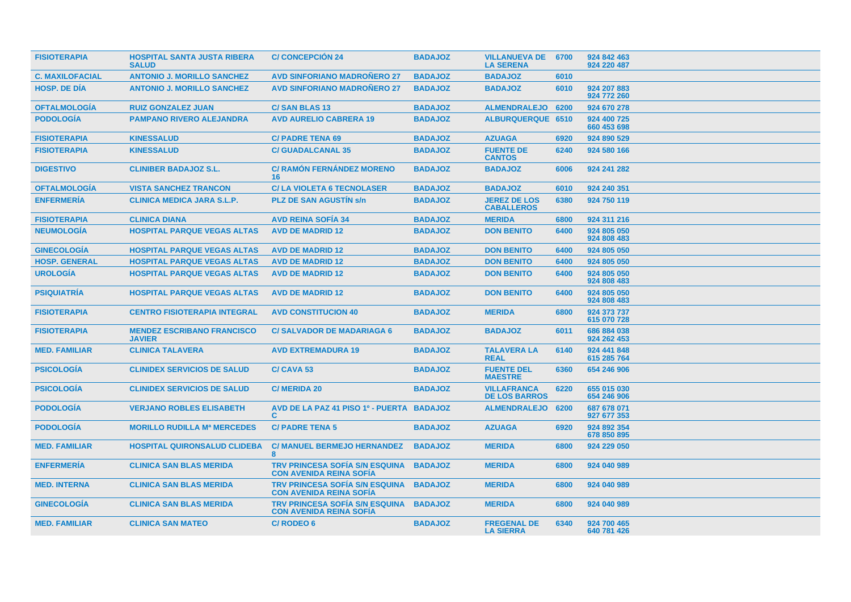| <b>FISIOTERAPIA</b>    | <b>HOSPITAL SANTA JUSTA RIBERA</b><br><b>SALUD</b> | <b>C/CONCEPCION 24</b>                                                   | <b>BADAJOZ</b> | <b>VILLANUEVA DE 6700</b><br><b>LA SERENA</b> |      | 924 842 463<br>924 220 487 |
|------------------------|----------------------------------------------------|--------------------------------------------------------------------------|----------------|-----------------------------------------------|------|----------------------------|
| <b>C. MAXILOFACIAL</b> | <b>ANTONIO J. MORILLO SANCHEZ</b>                  | <b>AVD SINFORIANO MADRONERO 27</b>                                       | <b>BADAJOZ</b> | <b>BADAJOZ</b>                                | 6010 |                            |
| <b>HOSP, DE DIA</b>    | <b>ANTONIO J. MORILLO SANCHEZ</b>                  | <b>AVD SINFORIANO MADRONERO 27</b>                                       | <b>BADAJOZ</b> | <b>BADAJOZ</b>                                | 6010 | 924 207 883<br>924 772 260 |
| <b>OFTALMOLOGÍA</b>    | <b>RUIZ GONZALEZ JUAN</b>                          | <b>C/SAN BLAS 13</b>                                                     | <b>BADAJOZ</b> | ALMENDRALEJO 6200                             |      | 924 670 278                |
| <b>PODOLOGÍA</b>       | <b>PAMPANO RIVERO ALEJANDRA</b>                    | <b>AVD AURELIO CABRERA 19</b>                                            | <b>BADAJOZ</b> | <b>ALBURQUERQUE 6510</b>                      |      | 924 400 725<br>660 453 698 |
| <b>FISIOTERAPIA</b>    | <b>KINESSALUD</b>                                  | <b>C/ PADRE TENA 69</b>                                                  | <b>BADAJOZ</b> | <b>AZUAGA</b>                                 | 6920 | 924 890 529                |
| <b>FISIOTERAPIA</b>    | <b>KINESSALUD</b>                                  | <b>C/GUADALCANAL 35</b>                                                  | <b>BADAJOZ</b> | <b>FUENTE DE</b><br><b>CANTOS</b>             | 6240 | 924 580 166                |
| <b>DIGESTIVO</b>       | <b>CLINIBER BADAJOZ S.L.</b>                       | <b>C/ RAMÓN FERNÁNDEZ MORENO</b><br>16.                                  | <b>BADAJOZ</b> | <b>BADAJOZ</b>                                | 6006 | 924 241 282                |
| <b>OFTALMOLOGÍA</b>    | <b>VISTA SANCHEZ TRANCON</b>                       | <b>C/LA VIOLETA 6 TECNOLASER</b>                                         | <b>BADAJOZ</b> | <b>BADAJOZ</b>                                | 6010 | 924 240 351                |
| <b>ENFERMERÍA</b>      | <b>CLINICA MEDICA JARA S.L.P.</b>                  | <b>PLZ DE SAN AGUSTIN S/n</b>                                            | <b>BADAJOZ</b> | <b>JEREZ DE LOS</b><br><b>CABALLEROS</b>      | 6380 | 924 750 119                |
| <b>FISIOTERAPIA</b>    | <b>CLINICA DIANA</b>                               | <b>AVD REINA SOFIA 34</b>                                                | <b>BADAJOZ</b> | <b>MERIDA</b>                                 | 6800 | 924 311 216                |
| <b>NEUMOLOGÍA</b>      | <b>HOSPITAL PARQUE VEGAS ALTAS</b>                 | <b>AVD DE MADRID 12</b>                                                  | <b>BADAJOZ</b> | <b>DON BENITO</b>                             | 6400 | 924 805 050<br>924 808 483 |
| <b>GINECOLOGIA</b>     | <b>HOSPITAL PARQUE VEGAS ALTAS</b>                 | <b>AVD DE MADRID 12</b>                                                  | <b>BADAJOZ</b> | <b>DON BENITO</b>                             | 6400 | 924 805 050                |
| <b>HOSP. GENERAL</b>   | <b>HOSPITAL PARQUE VEGAS ALTAS</b>                 | <b>AVD DE MADRID 12</b>                                                  | <b>BADAJOZ</b> | <b>DON BENITO</b>                             | 6400 | 924 805 050                |
| <b>UROLOGIA</b>        | <b>HOSPITAL PARQUE VEGAS ALTAS</b>                 | <b>AVD DE MADRID 12</b>                                                  | <b>BADAJOZ</b> | <b>DON BENITO</b>                             | 6400 | 924 805 050<br>924 808 483 |
| <b>PSIQUIATRÍA</b>     | <b>HOSPITAL PARQUE VEGAS ALTAS</b>                 | <b>AVD DE MADRID 12</b>                                                  | <b>BADAJOZ</b> | <b>DON BENITO</b>                             | 6400 | 924 805 050<br>924 808 483 |
| <b>FISIOTERAPIA</b>    | <b>CENTRO FISIOTERAPIA INTEGRAL</b>                | <b>AVD CONSTITUCION 40</b>                                               | <b>BADAJOZ</b> | <b>MERIDA</b>                                 | 6800 | 924 373 737<br>615 070 728 |
| <b>FISIOTERAPIA</b>    | <b>MENDEZ ESCRIBANO FRANCISCO</b><br><b>JAVIER</b> | <b>C/SALVADOR DE MADARIAGA 6</b>                                         | <b>BADAJOZ</b> | <b>BADAJOZ</b>                                | 6011 | 686 884 038<br>924 262 453 |
| <b>MED. FAMILIAR</b>   | <b>CLINICA TALAVERA</b>                            | <b>AVD EXTREMADURA 19</b>                                                | <b>BADAJOZ</b> | <b>TALAVERA LA</b><br><b>REAL</b>             | 6140 | 924 441 848<br>615 285 764 |
| <b>PSICOLOGIA</b>      | <b>CLINIDEX SERVICIOS DE SALUD</b>                 | C/CAVA <sub>53</sub>                                                     | <b>BADAJOZ</b> | <b>FUENTE DEL</b><br><b>MAESTRE</b>           | 6360 | 654 246 906                |
| <b>PSICOLOGIA</b>      | <b>CLINIDEX SERVICIOS DE SALUD</b>                 | <b>C/MERIDA 20</b>                                                       | <b>BADAJOZ</b> | <b>VILLAFRANCA</b><br><b>DE LOS BARROS</b>    | 6220 | 655 015 030<br>654 246 906 |
| <b>PODOLOGIA</b>       | <b>VERJANO ROBLES ELISABETH</b>                    | AVD DE LA PAZ 41 PISO 1º - PUERTA BADAJOZ<br>C.                          |                | <b>ALMENDRALEJO</b>                           | 6200 | 687 678 071<br>927 677 353 |
| <b>PODOLOGÍA</b>       | <b>MORILLO RUDILLA Mª MERCEDES</b>                 | <b>C/PADRE TENA 5</b>                                                    | <b>BADAJOZ</b> | <b>AZUAGA</b>                                 | 6920 | 924 892 354<br>678 850 895 |
| <b>MED. FAMILIAR</b>   | <b>HOSPITAL QUIRONSALUD CLIDEBA</b>                | <b>C/ MANUEL BERMEJO HERNANDEZ</b><br>8                                  | <b>BADAJOZ</b> | <b>MERIDA</b>                                 | 6800 | 924 229 050                |
| <b>ENFERMERÍA</b>      | <b>CLINICA SAN BLAS MERIDA</b>                     | <b>TRV PRINCESA SOFÍA S/N ESQUINA</b><br><b>CON AVENIDA REINA SOFIA</b>  | <b>BADAJOZ</b> | <b>MERIDA</b>                                 | 6800 | 924 040 989                |
| <b>MED. INTERNA</b>    | <b>CLINICA SAN BLAS MERIDA</b>                     | TRV PRINCESA SOFÍA S/N ESQUINA BADAJOZ<br><b>CON AVENIDA REINA SOFIA</b> |                | <b>MERIDA</b>                                 | 6800 | 924 040 989                |
| <b>GINECOLOGIA</b>     | <b>CLINICA SAN BLAS MERIDA</b>                     | <b>TRV PRINCESA SOFIA S/N ESQUINA</b><br><b>CON AVENIDA REINA SOFÍA</b>  | <b>BADAJOZ</b> | <b>MERIDA</b>                                 | 6800 | 924 040 989                |
| <b>MED. FAMILIAR</b>   | <b>CLINICA SAN MATEO</b>                           | <b>C/RODEO 6</b>                                                         | <b>BADAJOZ</b> | <b>FREGENAL DE</b><br><b>LA SIERRA</b>        | 6340 | 924 700 465<br>640 781 426 |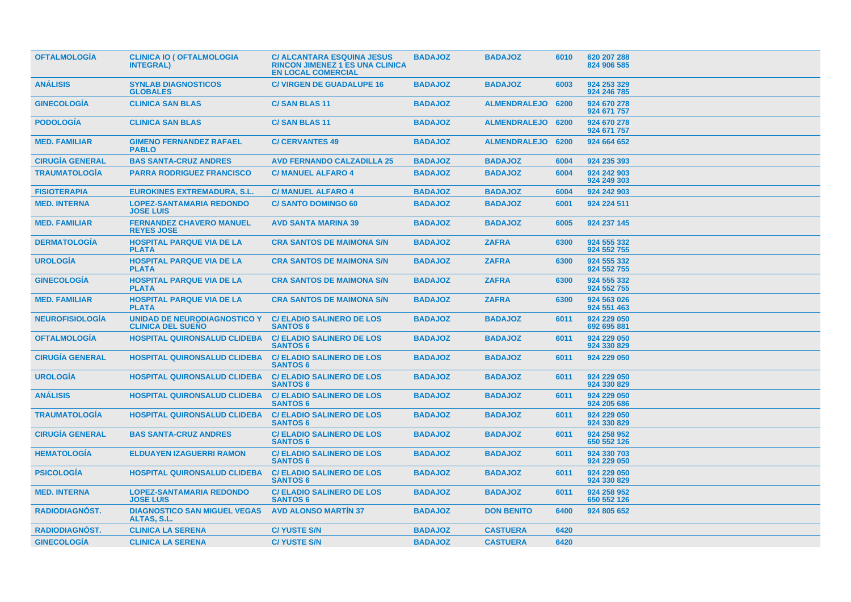| <b>OFTALMOLOGIA</b>    | <b>CLINICA IO ( OFTALMOLOGIA</b><br><b>INTEGRAL</b> )           | <b>C/ ALCANTARA ESQUINA JESUS</b><br><b>RINCON JIMENEZ 1 ES UNA CLINICA</b><br><b>EN LOCAL COMERCIAL</b> | <b>BADAJOZ</b> | <b>BADAJOZ</b>    | 6010 | 620 207 288<br>824 906 585 |
|------------------------|-----------------------------------------------------------------|----------------------------------------------------------------------------------------------------------|----------------|-------------------|------|----------------------------|
| <b>ANÁLISIS</b>        | <b>SYNLAB DIAGNOSTICOS</b><br><b>GLOBALES</b>                   | <b>C/ VIRGEN DE GUADALUPE 16</b>                                                                         | <b>BADAJOZ</b> | <b>BADAJOZ</b>    | 6003 | 924 253 329<br>924 246 785 |
| <b>GINECOLOGIA</b>     | <b>CLINICA SAN BLAS</b>                                         | <b>C/SAN BLAS 11</b>                                                                                     | <b>BADAJOZ</b> | ALMENDRALEJO 6200 |      | 924 670 278<br>924 671 757 |
| <b>PODOLOGIA</b>       | <b>CLINICA SAN BLAS</b>                                         | <b>C/SAN BLAS 11</b>                                                                                     | <b>BADAJOZ</b> | ALMENDRALEJO 6200 |      | 924 670 278<br>924 671 757 |
| <b>MED. FAMILIAR</b>   | <b>GIMENO FERNANDEZ RAFAEL</b><br><b>PABLO</b>                  | <b>C/CERVANTES 49</b>                                                                                    | <b>BADAJOZ</b> | ALMENDRALEJO 6200 |      | 924 664 652                |
| <b>CIRUGÍA GENERAL</b> | <b>BAS SANTA-CRUZ ANDRES</b>                                    | <b>AVD FERNANDO CALZADILLA 25</b>                                                                        | <b>BADAJOZ</b> | <b>BADAJOZ</b>    | 6004 | 924 235 393                |
| <b>TRAUMATOLOGÍA</b>   | <b>PARRA RODRIGUEZ FRANCISCO</b>                                | <b>C/ MANUEL ALFARO 4</b>                                                                                | <b>BADAJOZ</b> | <b>BADAJOZ</b>    | 6004 | 924 242 903<br>924 249 303 |
| <b>FISIOTERAPIA</b>    | <b>EUROKINES EXTREMADURA, S.L.</b>                              | <b>C/MANUEL ALFARO 4</b>                                                                                 | <b>BADAJOZ</b> | <b>BADAJOZ</b>    | 6004 | 924 242 903                |
| <b>MED. INTERNA</b>    | <b>LOPEZ-SANTAMARIA REDONDO</b><br><b>JOSE LUIS</b>             | <b>C/SANTO DOMINGO 60</b>                                                                                | <b>BADAJOZ</b> | <b>BADAJOZ</b>    | 6001 | 924 224 511                |
| <b>MED. FAMILIAR</b>   | <b>FERNANDEZ CHAVERO MANUEL</b><br><b>REYES JOSE</b>            | <b>AVD SANTA MARINA 39</b>                                                                               | <b>BADAJOZ</b> | <b>BADAJOZ</b>    | 6005 | 924 237 145                |
| <b>DERMATOLOGÍA</b>    | <b>HOSPITAL PARQUE VIA DE LA</b><br><b>PLATA</b>                | <b>CRA SANTOS DE MAIMONA S/N</b>                                                                         | <b>BADAJOZ</b> | <b>ZAFRA</b>      | 6300 | 924 555 332<br>924 552 755 |
| <b>UROLOGIA</b>        | <b>HOSPITAL PARQUE VIA DE LA</b><br><b>PLATA</b>                | <b>CRA SANTOS DE MAIMONA S/N</b>                                                                         | <b>BADAJOZ</b> | <b>ZAFRA</b>      | 6300 | 924 555 332<br>924 552 755 |
| <b>GINECOLOGIA</b>     | <b>HOSPITAL PARQUE VIA DE LA</b><br><b>PLATA</b>                | <b>CRA SANTOS DE MAIMONA S/N</b>                                                                         | <b>BADAJOZ</b> | <b>ZAFRA</b>      | 6300 | 924 555 332<br>924 552 755 |
| <b>MED. FAMILIAR</b>   | <b>HOSPITAL PARQUE VIA DE LA</b><br><b>PLATA</b>                | <b>CRA SANTOS DE MAIMONA S/N</b>                                                                         | <b>BADAJOZ</b> | <b>ZAFRA</b>      | 6300 | 924 563 026<br>924 551 463 |
| <b>NEUROFISIOLOGÍA</b> | <b>UNIDAD DE NEURODIAGNOSTICO Y</b><br><b>CLINICA DEL SUENO</b> | <b>C/ ELADIO SALINERO DE LOS</b><br><b>SANTOS 6</b>                                                      | <b>BADAJOZ</b> | <b>BADAJOZ</b>    | 6011 | 924 229 050<br>692 695 881 |
| <b>OFTALMOLOGIA</b>    | <b>HOSPITAL QUIRONSALUD CLIDEBA</b>                             | <b>C/ ELADIO SALINERO DE LOS</b><br><b>SANTOS 6</b>                                                      | <b>BADAJOZ</b> | <b>BADAJOZ</b>    | 6011 | 924 229 050<br>924 330 829 |
| <b>CIRUGIA GENERAL</b> | <b>HOSPITAL QUIRONSALUD CLIDEBA</b>                             | <b>C/ELADIO SALINERO DE LOS</b><br><b>SANTOS 6</b>                                                       | <b>BADAJOZ</b> | <b>BADAJOZ</b>    | 6011 | 924 229 050                |
| <b>UROLOGÍA</b>        | <b>HOSPITAL QUIRONSALUD CLIDEBA</b>                             | <b>C/ ELADIO SALINERO DE LOS</b><br><b>SANTOS 6</b>                                                      | <b>BADAJOZ</b> | <b>BADAJOZ</b>    | 6011 | 924 229 050<br>924 330 829 |
| <b>ANÁLISIS</b>        | <b>HOSPITAL QUIRONSALUD CLIDEBA</b>                             | <b>C/ELADIO SALINERO DE LOS</b><br><b>SANTOS 6</b>                                                       | <b>BADAJOZ</b> | <b>BADAJOZ</b>    | 6011 | 924 229 050<br>924 205 686 |
| <b>TRAUMATOLOGIA</b>   | <b>HOSPITAL QUIRONSALUD CLIDEBA</b>                             | <b>C/ ELADIO SALINERO DE LOS</b><br><b>SANTOS 6</b>                                                      | <b>BADAJOZ</b> | <b>BADAJOZ</b>    | 6011 | 924 229 050<br>924 330 829 |
| <b>CIRUGÍA GENERAL</b> | <b>BAS SANTA-CRUZ ANDRES</b>                                    | <b>C/ ELADIO SALINERO DE LOS</b><br><b>SANTOS 6</b>                                                      | <b>BADAJOZ</b> | <b>BADAJOZ</b>    | 6011 | 924 258 952<br>650 552 126 |
| <b>HEMATOLOGIA</b>     | <b>ELDUAYEN IZAGUERRI RAMON</b>                                 | <b>C/ ELADIO SALINERO DE LOS</b><br><b>SANTOS 6</b>                                                      | <b>BADAJOZ</b> | <b>BADAJOZ</b>    | 6011 | 924 330 703<br>924 229 050 |
| <b>PSICOLOGIA</b>      | <b>HOSPITAL QUIRONSALUD CLIDEBA</b>                             | <b>C/ELADIO SALINERO DE LOS</b><br><b>SANTOS 6</b>                                                       | <b>BADAJOZ</b> | <b>BADAJOZ</b>    | 6011 | 924 229 050<br>924 330 829 |
| <b>MED. INTERNA</b>    | <b>LOPEZ-SANTAMARIA REDONDO</b><br><b>JOSE LUIS</b>             | <b>C/ELADIO SALINERO DE LOS</b><br><b>SANTOS 6</b>                                                       | <b>BADAJOZ</b> | <b>BADAJOZ</b>    | 6011 | 924 258 952<br>650 552 126 |
| RADIODIAGNÓST.         | <b>DIAGNOSTICO SAN MIGUEL VEGAS</b><br>ALTAS, S.L.              | <b>AVD ALONSO MARTIN 37</b>                                                                              | <b>BADAJOZ</b> | <b>DON BENITO</b> | 6400 | 924 805 652                |
| <b>RADIODIAGNOST.</b>  | <b>CLINICA LA SERENA</b>                                        | <b>C/YUSTE S/N</b>                                                                                       | <b>BADAJOZ</b> | <b>CASTUERA</b>   | 6420 |                            |
| <b>GINECOLOGIA</b>     | <b>CLINICA LA SERENA</b>                                        | <b>C/YUSTE S/N</b>                                                                                       | <b>BADAJOZ</b> | <b>CASTUERA</b>   | 6420 |                            |
|                        |                                                                 |                                                                                                          |                |                   |      |                            |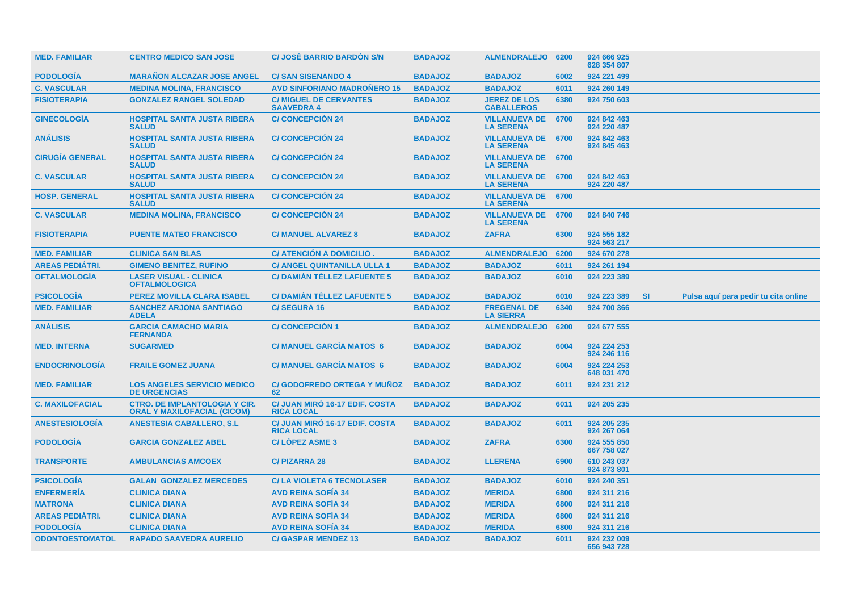| <b>MED. FAMILIAR</b>   | <b>CENTRO MEDICO SAN JOSE</b>                                              | <b>C/ JOSÉ BARRIO BARDON S/N</b>                           | <b>BADAJOZ</b> | ALMENDRALEJO 6200                             |      | 924 666 925<br>628 354 807 |           |                                      |
|------------------------|----------------------------------------------------------------------------|------------------------------------------------------------|----------------|-----------------------------------------------|------|----------------------------|-----------|--------------------------------------|
| <b>PODOLOGIA</b>       | <b>MARAÑON ALCAZAR JOSE ANGEL</b>                                          | <b>C/SAN SISENANDO 4</b>                                   | <b>BADAJOZ</b> | <b>BADAJOZ</b>                                | 6002 | 924 221 499                |           |                                      |
| <b>C. VASCULAR</b>     | <b>MEDINA MOLINA, FRANCISCO</b>                                            | <b>AVD SINFORIANO MADROÑERO 15</b>                         | <b>BADAJOZ</b> | <b>BADAJOZ</b>                                | 6011 | 924 260 149                |           |                                      |
| <b>FISIOTERAPIA</b>    | <b>GONZALEZ RANGEL SOLEDAD</b>                                             | <b>C/ MIGUEL DE CERVANTES</b><br><b>SAAVEDRA 4</b>         | <b>BADAJOZ</b> | <b>JEREZ DE LOS</b><br><b>CABALLEROS</b>      | 6380 | 924 750 603                |           |                                      |
| <b>GINECOLOGÍA</b>     | <b>HOSPITAL SANTA JUSTA RIBERA</b><br><b>SALUD</b>                         | <b>C/CONCEPCIÓN 24</b>                                     | <b>BADAJOZ</b> | <b>VILLANUEVA DE</b><br><b>LA SERENA</b>      | 6700 | 924 842 463<br>924 220 487 |           |                                      |
| <b>ANÁLISIS</b>        | <b>HOSPITAL SANTA JUSTA RIBERA</b><br><b>SALUD</b>                         | <b>C/CONCEPCIÓN 24</b>                                     | <b>BADAJOZ</b> | VILLANUEVA DE 6700<br><b>LA SERENA</b>        |      | 924 842 463<br>924 845 463 |           |                                      |
| <b>CIRUGIA GENERAL</b> | <b>HOSPITAL SANTA JUSTA RIBERA</b><br><b>SALUD</b>                         | <b>C/CONCEPCION 24</b>                                     | <b>BADAJOZ</b> | <b>VILLANUEVA DE 6700</b><br><b>LA SERENA</b> |      |                            |           |                                      |
| <b>C. VASCULAR</b>     | <b>HOSPITAL SANTA JUSTA RIBERA</b><br><b>SALUD</b>                         | <b>C/CONCEPCION 24</b>                                     | <b>BADAJOZ</b> | <b>VILLANUEVA DE 6700</b><br><b>LA SERENA</b> |      | 924 842 463<br>924 220 487 |           |                                      |
| <b>HOSP. GENERAL</b>   | <b>HOSPITAL SANTA JUSTA RIBERA</b><br><b>SALUD</b>                         | <b>C/CONCEPCIÓN 24</b>                                     | <b>BADAJOZ</b> | VILLANUEVA DE 6700<br><b>LA SERENA</b>        |      |                            |           |                                      |
| <b>C. VASCULAR</b>     | <b>MEDINA MOLINA, FRANCISCO</b>                                            | <b>C/CONCEPCIÓN 24</b>                                     | <b>BADAJOZ</b> | <b>VILLANUEVA DE</b><br><b>LA SERENA</b>      | 6700 | 924 840 746                |           |                                      |
| <b>FISIOTERAPIA</b>    | <b>PUENTE MATEO FRANCISCO</b>                                              | <b>C/ MANUEL ALVAREZ 8</b>                                 | <b>BADAJOZ</b> | <b>ZAFRA</b>                                  | 6300 | 924 555 182<br>924 563 217 |           |                                      |
| <b>MED. FAMILIAR</b>   | <b>CLINICA SAN BLAS</b>                                                    | <b>C/ ATENCIÓN A DOMICILIO</b>                             | <b>BADAJOZ</b> | <b>ALMENDRALEJO</b>                           | 6200 | 924 670 278                |           |                                      |
| <b>AREAS PEDIÁTRI.</b> | <b>GIMENO BENITEZ, RUFINO</b>                                              | <b>C/ ANGEL QUINTANILLA ULLA 1</b>                         | <b>BADAJOZ</b> | <b>BADAJOZ</b>                                | 6011 | 924 261 194                |           |                                      |
| <b>OFTALMOLOGÍA</b>    | <b>LASER VISUAL - CLINICA</b><br><b>OFTALMOLOGICA</b>                      | <b>C/DAMIAN TÉLLEZ LAFUENTE 5</b>                          | <b>BADAJOZ</b> | <b>BADAJOZ</b>                                | 6010 | 924 223 389                |           |                                      |
| <b>PSICOLOGÍA</b>      | <b>PEREZ MOVILLA CLARA ISABEL</b>                                          | <b>C/DAMIÁN TÉLLEZ LAFUENTE 5</b>                          | <b>BADAJOZ</b> | <b>BADAJOZ</b>                                | 6010 | 924 223 389                | <b>SI</b> | Pulsa aquí para pedir tu cita online |
| <b>MED. FAMILIAR</b>   | <b>SANCHEZ ARJONA SANTIAGO</b><br><b>ADELA</b>                             | <b>C/SEGURA 16</b>                                         | <b>BADAJOZ</b> | <b>FREGENAL DE</b><br><b>LA SIERRA</b>        | 6340 | 924 700 366                |           |                                      |
| <b>ANÁLISIS</b>        | <b>GARCIA CAMACHO MARIA</b><br><b>FERNANDA</b>                             | <b>C/ CONCEPCIÓN 1</b>                                     | <b>BADAJOZ</b> | <b>ALMENDRALEJO</b>                           | 6200 | 924 677 555                |           |                                      |
| <b>MED. INTERNA</b>    | <b>SUGARMED</b>                                                            | <b>C/ MANUEL GARCIA MATOS 6</b>                            | <b>BADAJOZ</b> | <b>BADAJOZ</b>                                | 6004 | 924 224 253<br>924 246 116 |           |                                      |
| <b>ENDOCRINOLOGÍA</b>  | <b>FRAILE GOMEZ JUANA</b>                                                  | <b>C/ MANUEL GARCIA MATOS 6</b>                            | <b>BADAJOZ</b> | <b>BADAJOZ</b>                                | 6004 | 924 224 253<br>648 031 470 |           |                                      |
| <b>MED. FAMILIAR</b>   | <b>LOS ANGELES SERVICIO MEDICO</b><br><b>DE URGENCIAS</b>                  | <b>C/GODOFREDO ORTEGA Y MUÑOZ</b><br>62                    | <b>BADAJOZ</b> | <b>BADAJOZ</b>                                | 6011 | 924 231 212                |           |                                      |
| <b>C. MAXILOFACIAL</b> | <b>CTRO. DE IMPLANTOLOGIA Y CIR.</b><br><b>ORAL Y MAXILOFACIAL (CICOM)</b> | C/ JUAN MIRO 16-17 EDIF, COSTA<br><b>RICA LOCAL</b>        | <b>BADAJOZ</b> | <b>BADAJOZ</b>                                | 6011 | 924 205 235                |           |                                      |
| <b>ANESTESIOLOGIA</b>  | <b>ANESTESIA CABALLERO, S.L.</b>                                           | <b>C/ JUAN MIRO 16-17 EDIF, COSTA</b><br><b>RICA LOCAL</b> | <b>BADAJOZ</b> | <b>BADAJOZ</b>                                | 6011 | 924 205 235<br>924 267 064 |           |                                      |
| <b>PODOLOGÍA</b>       | <b>GARCIA GONZALEZ ABEL</b>                                                | <b>C/LOPEZ ASME 3</b>                                      | <b>BADAJOZ</b> | <b>ZAFRA</b>                                  | 6300 | 924 555 850<br>667 758 027 |           |                                      |
| <b>TRANSPORTE</b>      | <b>AMBULANCIAS AMCOEX</b>                                                  | <b>C/PIZARRA 28</b>                                        | <b>BADAJOZ</b> | <b>LLERENA</b>                                | 6900 | 610 243 037<br>924 873 801 |           |                                      |
| <b>PSICOLOGÍA</b>      | <b>GALAN GONZALEZ MERCEDES</b>                                             | <b>C/LA VIOLETA 6 TECNOLASER</b>                           | <b>BADAJOZ</b> | <b>BADAJOZ</b>                                | 6010 | 924 240 351                |           |                                      |
| <b>ENFERMERÍA</b>      | <b>CLINICA DIANA</b>                                                       | <b>AVD REINA SOFIA 34</b>                                  | <b>BADAJOZ</b> | <b>MERIDA</b>                                 | 6800 | 924 311 216                |           |                                      |
| <b>MATRONA</b>         | <b>CLINICA DIANA</b>                                                       | <b>AVD REINA SOFIA 34</b>                                  | <b>BADAJOZ</b> | <b>MERIDA</b>                                 | 6800 | 924 311 216                |           |                                      |
| <b>AREAS PEDIÁTRI.</b> | <b>CLINICA DIANA</b>                                                       | <b>AVD REINA SOFIA 34</b>                                  | <b>BADAJOZ</b> | <b>MERIDA</b>                                 | 6800 | 924 311 216                |           |                                      |
| <b>PODOLOGÍA</b>       | <b>CLINICA DIANA</b>                                                       | <b>AVD REINA SOFIA 34</b>                                  | <b>BADAJOZ</b> | <b>MERIDA</b>                                 | 6800 | 924 311 216                |           |                                      |
| <b>ODONTOESTOMATOL</b> | <b>RAPADO SAAVEDRA AURELIO</b>                                             | <b>C/ GASPAR MENDEZ 13</b>                                 | <b>BADAJOZ</b> | <b>BADAJOZ</b>                                | 6011 | 924 232 009<br>656 943 728 |           |                                      |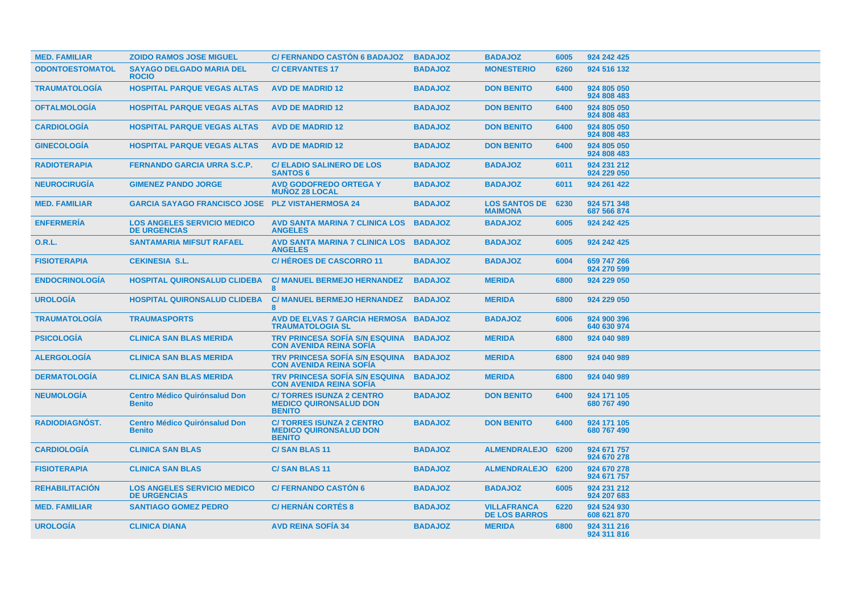| <b>MED. FAMILIAR</b>   | <b>ZOIDO RAMOS JOSE MIGUEL</b>                            | <b>C/ FERNANDO CASTON 6 BADAJOZ</b>                                               | <b>BADAJOZ</b> | <b>BADAJOZ</b>                             | 6005 | 924 242 425                |
|------------------------|-----------------------------------------------------------|-----------------------------------------------------------------------------------|----------------|--------------------------------------------|------|----------------------------|
| <b>ODONTOESTOMATOL</b> | <b>SAYAGO DELGADO MARIA DEL</b><br><b>ROCIO</b>           | <b>C/ CERVANTES 17</b>                                                            | <b>BADAJOZ</b> | <b>MONESTERIO</b>                          | 6260 | 924 516 132                |
| <b>TRAUMATOLOGÍA</b>   | <b>HOSPITAL PARQUE VEGAS ALTAS</b>                        | <b>AVD DE MADRID 12</b>                                                           | <b>BADAJOZ</b> | <b>DON BENITO</b>                          | 6400 | 924 805 050<br>924 808 483 |
| <b>OFTALMOLOGIA</b>    | <b>HOSPITAL PARQUE VEGAS ALTAS</b>                        | <b>AVD DE MADRID 12</b>                                                           | <b>BADAJOZ</b> | <b>DON BENITO</b>                          | 6400 | 924 805 050<br>924 808 483 |
| <b>CARDIOLOGIA</b>     | <b>HOSPITAL PARQUE VEGAS ALTAS</b>                        | <b>AVD DE MADRID 12</b>                                                           | <b>BADAJOZ</b> | <b>DON BENITO</b>                          | 6400 | 924 805 050<br>924 808 483 |
| <b>GINECOLOGÍA</b>     | <b>HOSPITAL PARQUE VEGAS ALTAS</b>                        | <b>AVD DE MADRID 12</b>                                                           | <b>BADAJOZ</b> | <b>DON BENITO</b>                          | 6400 | 924 805 050<br>924 808 483 |
| <b>RADIOTERAPIA</b>    | <b>FERNANDO GARCIA URRA S.C.P.</b>                        | <b>C/ ELADIO SALINERO DE LOS</b><br><b>SANTOS 6</b>                               | <b>BADAJOZ</b> | <b>BADAJOZ</b>                             | 6011 | 924 231 212<br>924 229 050 |
| <b>NEUROCIRUGÍA</b>    | <b>GIMENEZ PANDO JORGE</b>                                | <b>AVD GODOFREDO ORTEGA Y</b><br><b>MUNOZ 28 LOCAL</b>                            | <b>BADAJOZ</b> | <b>BADAJOZ</b>                             | 6011 | 924 261 422                |
| <b>MED. FAMILIAR</b>   | <b>GARCIA SAYAGO FRANCISCO JOSE</b>                       | <b>PLZ VISTAHERMOSA 24</b>                                                        | <b>BADAJOZ</b> | <b>LOS SANTOS DE</b><br><b>MAIMONA</b>     | 6230 | 924 571 348<br>687 566 874 |
| <b>ENFERMERÍA</b>      | <b>LOS ANGELES SERVICIO MEDICO</b><br><b>DE URGENCIAS</b> | AVD SANTA MARINA 7 CLINICA LOS<br><b>ANGELES</b>                                  | <b>BADAJOZ</b> | <b>BADAJOZ</b>                             | 6005 | 924 242 425                |
| <b>O.R.L.</b>          | <b>SANTAMARIA MIFSUT RAFAEL</b>                           | AVD SANTA MARINA 7 CLINICA LOS BADAJOZ<br><b>ANGELES</b>                          |                | <b>BADAJOZ</b>                             | 6005 | 924 242 425                |
| <b>FISIOTERAPIA</b>    | <b>CEKINESIA S.L.</b>                                     | <b>C/HÉROES DE CASCORRO 11</b>                                                    | <b>BADAJOZ</b> | <b>BADAJOZ</b>                             | 6004 | 659 747 266<br>924 270 599 |
| <b>ENDOCRINOLOGIA</b>  | <b>HOSPITAL QUIRONSALUD CLIDEBA</b>                       | <b>C/ MANUEL BERMEJO HERNANDEZ</b><br>8                                           | <b>BADAJOZ</b> | <b>MERIDA</b>                              | 6800 | 924 229 050                |
| <b>UROLOGÍA</b>        | <b>HOSPITAL QUIRONSALUD CLIDEBA</b>                       | <b>C/ MANUEL BERMEJO HERNANDEZ</b><br><b>R</b>                                    | <b>BADAJOZ</b> | <b>MERIDA</b>                              | 6800 | 924 229 050                |
| <b>TRAUMATOLOGIA</b>   | <b>TRAUMASPORTS</b>                                       | AVD DE ELVAS 7 GARCIA HERMOSA BADAJOZ<br><b>TRAUMATOLOGIA SL</b>                  |                | <b>BADAJOZ</b>                             | 6006 | 924 900 396<br>640 630 974 |
| <b>PSICOLOGÍA</b>      | <b>CLINICA SAN BLAS MERIDA</b>                            | <b>TRV PRINCESA SOFIA S/N ESQUINA</b><br><b>CON AVENIDA REINA SOFIA</b>           | <b>BADAJOZ</b> | <b>MERIDA</b>                              | 6800 | 924 040 989                |
| <b>ALERGOLOGIA</b>     | <b>CLINICA SAN BLAS MERIDA</b>                            | <b>TRV PRINCESA SOFÍA S/N ESQUINA</b><br><b>CON AVENIDA REINA SOFÍA</b>           | <b>BADAJOZ</b> | <b>MERIDA</b>                              | 6800 | 924 040 989                |
| <b>DERMATOLOGIA</b>    | <b>CLINICA SAN BLAS MERIDA</b>                            | <b>TRV PRINCESA SOFÍA S/N ESQUINA</b><br><b>CON AVENIDA REINA SOFÍA</b>           | <b>BADAJOZ</b> | <b>MERIDA</b>                              | 6800 | 924 040 989                |
| <b>NEUMOLOGIA</b>      | <b>Centro Médico Quirónsalud Don</b><br><b>Benito</b>     | <b>C/TORRES ISUNZA 2 CENTRO</b><br><b>MEDICO QUIRONSALUD DON</b><br><b>BENITO</b> | <b>BADAJOZ</b> | <b>DON BENITO</b>                          | 6400 | 924 171 105<br>680 767 490 |
| <b>RADIODIAGNÓST.</b>  | <b>Centro Médico Quirónsalud Don</b><br><b>Benito</b>     | <b>C/TORRES ISUNZA 2 CENTRO</b><br><b>MEDICO QUIRONSALUD DON</b><br><b>BENITO</b> | <b>BADAJOZ</b> | <b>DON BENITO</b>                          | 6400 | 924 171 105<br>680 767 490 |
| <b>CARDIOLOGIA</b>     | <b>CLINICA SAN BLAS</b>                                   | <b>C/SAN BLAS 11</b>                                                              | <b>BADAJOZ</b> | ALMENDRALEJO 6200                          |      | 924 671 757<br>924 670 278 |
| <b>FISIOTERAPIA</b>    | <b>CLINICA SAN BLAS</b>                                   | <b>C/SAN BLAS 11</b>                                                              | <b>BADAJOZ</b> | ALMENDRALEJO 6200                          |      | 924 670 278<br>924 671 757 |
| <b>REHABILITACION</b>  | <b>LOS ANGELES SERVICIO MEDICO</b><br><b>DE URGENCIAS</b> | <b>C/FERNANDO CASTÓN 6</b>                                                        | <b>BADAJOZ</b> | <b>BADAJOZ</b>                             | 6005 | 924 231 212<br>924 207 683 |
| <b>MED. FAMILIAR</b>   | <b>SANTIAGO GOMEZ PEDRO</b>                               | <b>C/HERNÁN CORTÉS 8</b>                                                          | <b>BADAJOZ</b> | <b>VILLAFRANCA</b><br><b>DE LOS BARROS</b> | 6220 | 924 524 930<br>608 621 870 |
| <b>UROLOGIA</b>        | <b>CLINICA DIANA</b>                                      | <b>AVD REINA SOFIA 34</b>                                                         | <b>BADAJOZ</b> | <b>MERIDA</b>                              | 6800 | 924 311 216<br>924 311 816 |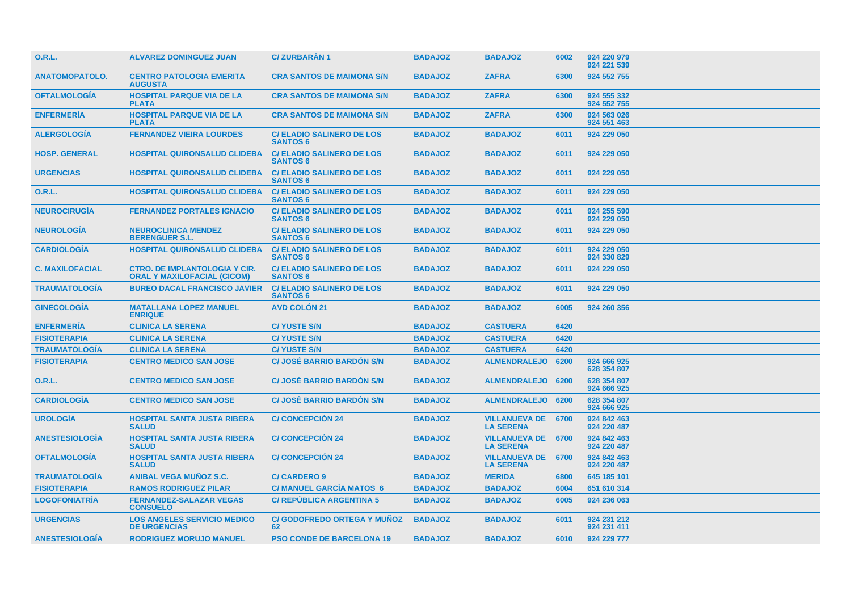| <b>O.R.L.</b>          | <b>ALVAREZ DOMINGUEZ JUAN</b>                                              | <b>C/ZURBARAN1</b>                                  | <b>BADAJOZ</b> | <b>BADAJOZ</b>                                | 6002 | 924 220 979<br>924 221 539 |
|------------------------|----------------------------------------------------------------------------|-----------------------------------------------------|----------------|-----------------------------------------------|------|----------------------------|
| <b>ANATOMOPATOLO.</b>  | <b>CENTRO PATOLOGIA EMERITA</b><br><b>AUGUSTA</b>                          | <b>CRA SANTOS DE MAIMONA S/N</b>                    | <b>BADAJOZ</b> | <b>ZAFRA</b>                                  | 6300 | 924 552 755                |
| <b>OFTALMOLOGÍA</b>    | <b>HOSPITAL PARQUE VIA DE LA</b><br><b>PLATA</b>                           | <b>CRA SANTOS DE MAIMONA S/N</b>                    | <b>BADAJOZ</b> | <b>ZAFRA</b>                                  | 6300 | 924 555 332<br>924 552 755 |
| <b>ENFERMERÍA</b>      | <b>HOSPITAL PARQUE VIA DE LA</b><br><b>PLATA</b>                           | <b>CRA SANTOS DE MAIMONA S/N</b>                    | <b>BADAJOZ</b> | <b>ZAFRA</b>                                  | 6300 | 924 563 026<br>924 551 463 |
| <b>ALERGOLOGIA</b>     | <b>FERNANDEZ VIEIRA LOURDES</b>                                            | <b>C/ELADIO SALINERO DE LOS</b><br><b>SANTOS 6</b>  | <b>BADAJOZ</b> | <b>BADAJOZ</b>                                | 6011 | 924 229 050                |
| <b>HOSP. GENERAL</b>   | <b>HOSPITAL QUIRONSALUD CLIDEBA</b>                                        | <b>C/ELADIO SALINERO DE LOS</b><br><b>SANTOS 6</b>  | <b>BADAJOZ</b> | <b>BADAJOZ</b>                                | 6011 | 924 229 050                |
| <b>URGENCIAS</b>       | <b>HOSPITAL QUIRONSALUD CLIDEBA</b>                                        | <b>C/ ELADIO SALINERO DE LOS</b><br><b>SANTOS 6</b> | <b>BADAJOZ</b> | <b>BADAJOZ</b>                                | 6011 | 924 229 050                |
| <b>O.R.L.</b>          | <b>HOSPITAL QUIRONSALUD CLIDEBA</b>                                        | <b>C/ELADIO SALINERO DE LOS</b><br><b>SANTOS 6</b>  | <b>BADAJOZ</b> | <b>BADAJOZ</b>                                | 6011 | 924 229 050                |
| <b>NEUROCIRUGIA</b>    | <b>FERNANDEZ PORTALES IGNACIO</b>                                          | <b>C/ ELADIO SALINERO DE LOS</b><br><b>SANTOS 6</b> | <b>BADAJOZ</b> | <b>BADAJOZ</b>                                | 6011 | 924 255 590<br>924 229 050 |
| <b>NEUROLOGIA</b>      | <b>NEUROCLINICA MENDEZ</b><br><b>BERENGUER S.L.</b>                        | <b>C/ELADIO SALINERO DE LOS</b><br><b>SANTOS 6</b>  | <b>BADAJOZ</b> | <b>BADAJOZ</b>                                | 6011 | 924 229 050                |
| <b>CARDIOLOGIA</b>     | <b>HOSPITAL QUIRONSALUD CLIDEBA</b>                                        | <b>C/ELADIO SALINERO DE LOS</b><br><b>SANTOS 6</b>  | <b>BADAJOZ</b> | <b>BADAJOZ</b>                                | 6011 | 924 229 050<br>924 330 829 |
| <b>C. MAXILOFACIAL</b> | <b>CTRO. DE IMPLANTOLOGIA Y CIR.</b><br><b>ORAL Y MAXILOFACIAL (CICOM)</b> | <b>C/ ELADIO SALINERO DE LOS</b><br><b>SANTOS 6</b> | <b>BADAJOZ</b> | <b>BADAJOZ</b>                                | 6011 | 924 229 050                |
| <b>TRAUMATOLOGIA</b>   | <b>BUREO DACAL FRANCISCO JAVIER</b>                                        | <b>C/ELADIO SALINERO DE LOS</b><br><b>SANTOS 6</b>  | <b>BADAJOZ</b> | <b>BADAJOZ</b>                                | 6011 | 924 229 050                |
| <b>GINECOLOGIA</b>     | <b>MATALLANA LOPEZ MANUEL</b><br><b>ENRIQUE</b>                            | <b>AVD COLON 21</b>                                 | <b>BADAJOZ</b> | <b>BADAJOZ</b>                                | 6005 | 924 260 356                |
| <b>ENFERMERÍA</b>      | <b>CLINICA LA SERENA</b>                                                   | <b>C/YUSTE S/N</b>                                  | <b>BADAJOZ</b> | <b>CASTUERA</b>                               | 6420 |                            |
| <b>FISIOTERAPIA</b>    | <b>CLINICA LA SERENA</b>                                                   | <b>C/ YUSTE S/N</b>                                 | <b>BADAJOZ</b> | <b>CASTUERA</b>                               | 6420 |                            |
| <b>TRAUMATOLOGÍA</b>   | <b>CLINICA LA SERENA</b>                                                   | <b>C/ YUSTE S/N</b>                                 | <b>BADAJOZ</b> | <b>CASTUERA</b>                               | 6420 |                            |
| <b>FISIOTERAPIA</b>    | <b>CENTRO MEDICO SAN JOSE</b>                                              | <b>C/JOSÉ BARRIO BARDON S/N</b>                     | <b>BADAJOZ</b> | <b>ALMENDRALEJO</b>                           | 6200 | 924 666 925<br>628 354 807 |
| 0.R.L.                 | <b>CENTRO MEDICO SAN JOSE</b>                                              | <b>C/ JOSÉ BARRIO BARDÓN S/N</b>                    | <b>BADAJOZ</b> | <b>ALMENDRALEJO</b>                           | 6200 | 628 354 807<br>924 666 925 |
| <b>CARDIOLOGÍA</b>     | <b>CENTRO MEDICO SAN JOSE</b>                                              | <b>C/ JOSÉ BARRIO BARDON S/N</b>                    | <b>BADAJOZ</b> | ALMENDRALEJO 6200                             |      | 628 354 807<br>924 666 925 |
| <b>UROLOGIA</b>        | <b>HOSPITAL SANTA JUSTA RIBERA</b><br><b>SALUD</b>                         | <b>C/ CONCEPCION 24</b>                             | <b>BADAJOZ</b> | <b>VILLANUEVA DE</b><br><b>LA SERENA</b>      | 6700 | 924 842 463<br>924 220 487 |
| <b>ANESTESIOLOGÍA</b>  | <b>HOSPITAL SANTA JUSTA RIBERA</b><br><b>SALUD</b>                         | <b>C/ CONCEPCIÓN 24</b>                             | <b>BADAJOZ</b> | <b>VILLANUEVA DE 6700</b><br><b>LA SERENA</b> |      | 924 842 463<br>924 220 487 |
| <b>OFTALMOLOGÍA</b>    | <b>HOSPITAL SANTA JUSTA RIBERA</b><br><b>SALUD</b>                         | <b>C/ CONCEPCIÓN 24</b>                             | <b>BADAJOZ</b> | <b>VILLANUEVA DE 6700</b><br><b>LA SERENA</b> |      | 924 842 463<br>924 220 487 |
| <b>TRAUMATOLOGIA</b>   | <b>ANIBAL VEGA MUNOZ S.C.</b>                                              | <b>C/CARDERO 9</b>                                  | <b>BADAJOZ</b> | <b>MERIDA</b>                                 | 6800 | 645 185 101                |
| <b>FISIOTERAPIA</b>    | <b>RAMOS RODRIGUEZ PILAR</b>                                               | <b>C/ MANUEL GARCIA MATOS 6</b>                     | <b>BADAJOZ</b> | <b>BADAJOZ</b>                                | 6004 | 651 610 314                |
| <b>LOGOFONIATRÍA</b>   | <b>FERNANDEZ-SALAZAR VEGAS</b><br><b>CONSUELO</b>                          | <b>C/ REPÚBLICA ARGENTINA 5</b>                     | <b>BADAJOZ</b> | <b>BADAJOZ</b>                                | 6005 | 924 236 063                |
| <b>URGENCIAS</b>       | <b>LOS ANGELES SERVICIO MEDICO</b><br><b>DE URGENCIAS</b>                  | <b>C/ GODOFREDO ORTEGA Y MUNOZ</b><br>62            | <b>BADAJOZ</b> | <b>BADAJOZ</b>                                | 6011 | 924 231 212<br>924 231 411 |
| <b>ANESTESIOLOGIA</b>  | <b>RODRIGUEZ MORUJO MANUEL</b>                                             | <b>PSO CONDE DE BARCELONA 19</b>                    | <b>BADAJOZ</b> | <b>BADAJOZ</b>                                | 6010 | 924 229 777                |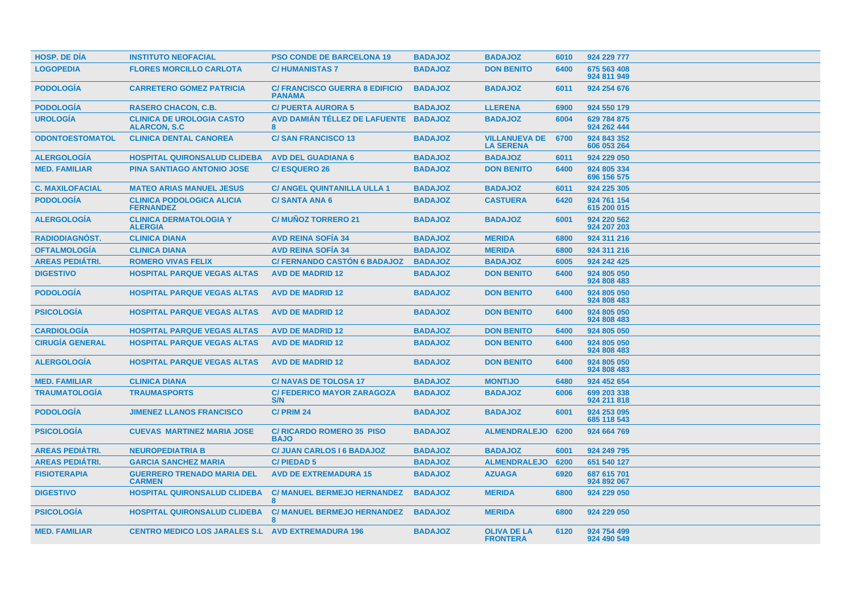| <b>HOSP. DE DIA</b>    | <b>INSTITUTO NEOFACIAL</b>                               | <b>PSO CONDE DE BARCELONA 19</b>                       | <b>BADAJOZ</b> | <b>BADAJOZ</b>                           | 6010 | 924 229 777                |
|------------------------|----------------------------------------------------------|--------------------------------------------------------|----------------|------------------------------------------|------|----------------------------|
| <b>LOGOPEDIA</b>       | <b>FLORES MORCILLO CARLOTA</b>                           | <b>C/HUMANISTAS 7</b>                                  | <b>BADAJOZ</b> | <b>DON BENITO</b>                        | 6400 | 675 563 408<br>924 811 949 |
| <b>PODOLOGÍA</b>       | <b>CARRETERO GOMEZ PATRICIA</b>                          | <b>C/ FRANCISCO GUERRA 8 EDIFICIO</b><br><b>PANAMA</b> | <b>BADAJOZ</b> | <b>BADAJOZ</b>                           | 6011 | 924 254 676                |
| <b>PODOLOGÍA</b>       | <b>RASERO CHACON, C.B.</b>                               | <b>C/PUERTA AURORA 5</b>                               | <b>BADAJOZ</b> | <b>LLERENA</b>                           | 6900 | 924 550 179                |
| <b>UROLOGIA</b>        | <b>CLINICA DE UROLOGIA CASTO</b><br><b>ALARCON, S.C.</b> | AVD DAMIÁN TÉLLEZ DE LAFUENTE BADAJOZ<br>8             |                | <b>BADAJOZ</b>                           | 6004 | 629 784 875<br>924 262 444 |
| <b>ODONTOESTOMATOL</b> | <b>CLINICA DENTAL CANOREA</b>                            | <b>C/SAN FRANCISCO 13</b>                              | <b>BADAJOZ</b> | <b>VILLANUEVA DE</b><br><b>LA SERENA</b> | 6700 | 924 843 352<br>606 053 264 |
| <b>ALERGOLOGIA</b>     | <b>HOSPITAL QUIRONSALUD CLIDEBA</b>                      | <b>AVD DEL GUADIANA 6</b>                              | <b>BADAJOZ</b> | <b>BADAJOZ</b>                           | 6011 | 924 229 050                |
| <b>MED. FAMILIAR</b>   | <b>PINA SANTIAGO ANTONIO JOSE</b>                        | <b>C/ESQUERO 26</b>                                    | <b>BADAJOZ</b> | <b>DON BENITO</b>                        | 6400 | 924 805 334<br>696 156 575 |
| <b>C. MAXILOFACIAL</b> | <b>MATEO ARIAS MANUEL JESUS</b>                          | <b>C/ ANGEL QUINTANILLA ULLA 1</b>                     | <b>BADAJOZ</b> | <b>BADAJOZ</b>                           | 6011 | 924 225 305                |
| <b>PODOLOGIA</b>       | <b>CLINICA PODOLOGICA ALICIA</b><br><b>FERNANDEZ</b>     | <b>C/SANTA ANA 6</b>                                   | <b>BADAJOZ</b> | <b>CASTUERA</b>                          | 6420 | 924 761 154<br>615 200 015 |
| <b>ALERGOLOGIA</b>     | <b>CLINICA DERMATOLOGIA Y</b><br><b>ALERGIA</b>          | <b>C/ MUNOZ TORRERO 21</b>                             | <b>BADAJOZ</b> | <b>BADAJOZ</b>                           | 6001 | 924 220 562<br>924 207 203 |
| <b>RADIODIAGNÓST.</b>  | <b>CLINICA DIANA</b>                                     | <b>AVD REINA SOFIA 34</b>                              | <b>BADAJOZ</b> | <b>MERIDA</b>                            | 6800 | 924 311 216                |
| <b>OFTALMOLOGÍA</b>    | <b>CLINICA DIANA</b>                                     | <b>AVD REINA SOFIA 34</b>                              | <b>BADAJOZ</b> | <b>MERIDA</b>                            | 6800 | 924 311 216                |
| <b>AREAS PEDIÁTRI.</b> | <b>ROMERO VIVAS FELIX</b>                                | <b>C/ FERNANDO CASTON 6 BADAJOZ</b>                    | <b>BADAJOZ</b> | <b>BADAJOZ</b>                           | 6005 | 924 242 425                |
| <b>DIGESTIVO</b>       | <b>HOSPITAL PARQUE VEGAS ALTAS</b>                       | <b>AVD DE MADRID 12</b>                                | <b>BADAJOZ</b> | <b>DON BENITO</b>                        | 6400 | 924 805 050<br>924 808 483 |
| <b>PODOLOGÍA</b>       | <b>HOSPITAL PARQUE VEGAS ALTAS</b>                       | <b>AVD DE MADRID 12</b>                                | <b>BADAJOZ</b> | <b>DON BENITO</b>                        | 6400 | 924 805 050<br>924 808 483 |
| <b>PSICOLOGÍA</b>      | <b>HOSPITAL PARQUE VEGAS ALTAS</b>                       | <b>AVD DE MADRID 12</b>                                | <b>BADAJOZ</b> | <b>DON BENITO</b>                        | 6400 | 924 805 050<br>924 808 483 |
| <b>CARDIOLOGÍA</b>     | <b>HOSPITAL PARQUE VEGAS ALTAS</b>                       | <b>AVD DE MADRID 12</b>                                | <b>BADAJOZ</b> | <b>DON BENITO</b>                        | 6400 | 924 805 050                |
| <b>CIRUGÍA GENERAL</b> | <b>HOSPITAL PARQUE VEGAS ALTAS</b>                       | <b>AVD DE MADRID 12</b>                                | <b>BADAJOZ</b> | <b>DON BENITO</b>                        | 6400 | 924 805 050<br>924 808 483 |
| <b>ALERGOLOGÍA</b>     | <b>HOSPITAL PARQUE VEGAS ALTAS</b>                       | <b>AVD DE MADRID 12</b>                                | <b>BADAJOZ</b> | <b>DON BENITO</b>                        | 6400 | 924 805 050<br>924 808 483 |
| <b>MED. FAMILIAR</b>   | <b>CLINICA DIANA</b>                                     | <b>C/NAVAS DE TOLOSA 17</b>                            | <b>BADAJOZ</b> | <b>MONTIJO</b>                           | 6480 | 924 452 654                |
| <b>TRAUMATOLOGÍA</b>   | <b>TRAUMASPORTS</b>                                      | <b>C/ FEDERICO MAYOR ZARAGOZA</b><br>S/N               | <b>BADAJOZ</b> | <b>BADAJOZ</b>                           | 6006 | 699 203 338<br>924 211 818 |
| <b>PODOLOGIA</b>       | <b>JIMENEZ LLANOS FRANCISCO</b>                          | C/PRIM 24                                              | <b>BADAJOZ</b> | <b>BADAJOZ</b>                           | 6001 | 924 253 095<br>685 118 543 |
| <b>PSICOLOGÍA</b>      | <b>CUEVAS MARTINEZ MARIA JOSE</b>                        | <b>C/ RICARDO ROMERO 35 PISO</b><br><b>BAJO</b>        | <b>BADAJOZ</b> | <b>ALMENDRALEJO</b>                      | 6200 | 924 664 769                |
| <b>AREAS PEDIÁTRI.</b> | <b>NEUROPEDIATRIA B</b>                                  | C/ JUAN CARLOS I 6 BADAJOZ                             | <b>BADAJOZ</b> | <b>BADAJOZ</b>                           | 6001 | 924 249 795                |
| <b>AREAS PEDIÁTRI.</b> | <b>GARCIA SANCHEZ MARIA</b>                              | <b>C/PIEDAD5</b>                                       | <b>BADAJOZ</b> | <b>ALMENDRALEJO</b>                      | 6200 | 651 540 127                |
| <b>FISIOTERAPIA</b>    | <b>GUERRERO TRENADO MARIA DEL</b><br><b>CARMEN</b>       | <b>AVD DE EXTREMADURA 15</b>                           | <b>BADAJOZ</b> | <b>AZUAGA</b>                            | 6920 | 687 615 701<br>924 892 067 |
| <b>DIGESTIVO</b>       | <b>HOSPITAL QUIRONSALUD CLIDEBA</b>                      | <b>C/ MANUEL BERMEJO HERNANDEZ</b><br>8                | <b>BADAJOZ</b> | <b>MERIDA</b>                            | 6800 | 924 229 050                |
| <b>PSICOLOGIA</b>      | <b>HOSPITAL QUIRONSALUD CLIDEBA</b>                      | <b>C/ MANUEL BERMEJO HERNANDEZ</b><br>8                | <b>BADAJOZ</b> | <b>MERIDA</b>                            | 6800 | 924 229 050                |
| <b>MED. FAMILIAR</b>   | <b>CENTRO MEDICO LOS JARALES S.L AVD EXTREMADURA 196</b> |                                                        | <b>BADAJOZ</b> | <b>OLIVA DE LA</b><br><b>FRONTERA</b>    | 6120 | 924 754 499<br>924 490 549 |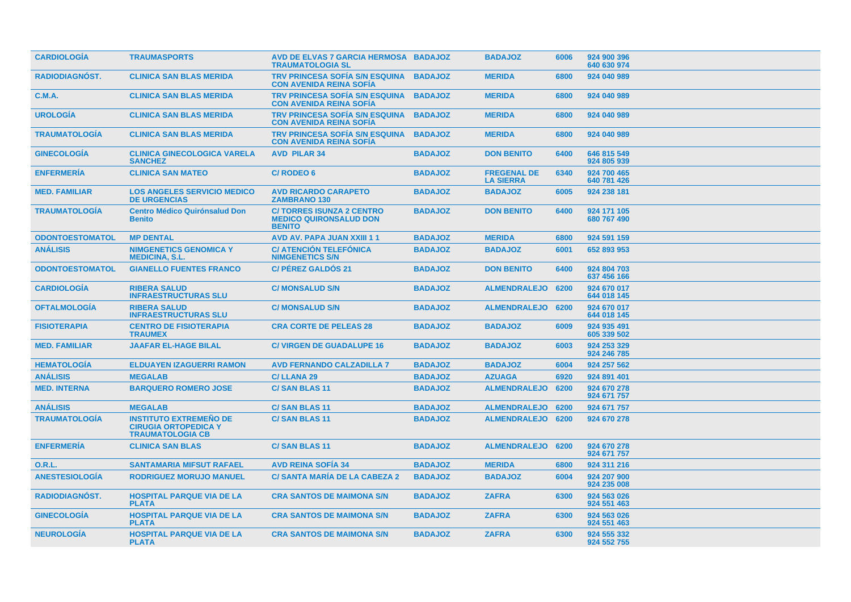| <b>CARDIOLOGIA</b>     | <b>TRAUMASPORTS</b>                                                                     | AVD DE ELVAS 7 GARCIA HERMOSA BADAJOZ<br><b>TRAUMATOLOGIA SL</b>                  |                | <b>BADAJOZ</b>                         | 6006 | 924 900 396<br>640 630 974 |
|------------------------|-----------------------------------------------------------------------------------------|-----------------------------------------------------------------------------------|----------------|----------------------------------------|------|----------------------------|
| RADIODIAGNÓST.         | <b>CLINICA SAN BLAS MERIDA</b>                                                          | <b>TRV PRINCESA SOFÍA S/N ESQUINA</b><br><b>CON AVENIDA REINA SOFIA</b>           | <b>BADAJOZ</b> | <b>MERIDA</b>                          | 6800 | 924 040 989                |
| <b>C.M.A.</b>          | <b>CLINICA SAN BLAS MERIDA</b>                                                          | <b>TRV PRINCESA SOFIA S/N ESQUINA</b><br><b>CON AVENIDA REINA SOFIA</b>           | <b>BADAJOZ</b> | <b>MERIDA</b>                          | 6800 | 924 040 989                |
| <b>UROLOGÍA</b>        | <b>CLINICA SAN BLAS MERIDA</b>                                                          | <b>TRV PRINCESA SOFÍA S/N ESQUINA</b><br><b>CON AVENIDA REINA SOFIA</b>           | <b>BADAJOZ</b> | <b>MERIDA</b>                          | 6800 | 924 040 989                |
| <b>TRAUMATOLOGÍA</b>   | <b>CLINICA SAN BLAS MERIDA</b>                                                          | <b>TRV PRINCESA SOFIA S/N ESQUINA</b><br><b>CON AVENIDA REINA SOFIA</b>           | <b>BADAJOZ</b> | <b>MERIDA</b>                          | 6800 | 924 040 989                |
| <b>GINECOLOGIA</b>     | <b>CLINICA GINECOLOGICA VARELA</b><br><b>SANCHEZ</b>                                    | <b>AVD PILAR 34</b>                                                               | <b>BADAJOZ</b> | <b>DON BENITO</b>                      | 6400 | 646 815 549<br>924 805 939 |
| <b>ENFERMERÍA</b>      | <b>CLINICA SAN MATEO</b>                                                                | <b>C/RODEO 6</b>                                                                  | <b>BADAJOZ</b> | <b>FREGENAL DE</b><br><b>LA SIERRA</b> | 6340 | 924 700 465<br>640 781 426 |
| <b>MED. FAMILIAR</b>   | <b>LOS ANGELES SERVICIO MEDICO</b><br><b>DE URGENCIAS</b>                               | <b>AVD RICARDO CARAPETO</b><br><b>ZAMBRANO 130</b>                                | <b>BADAJOZ</b> | <b>BADAJOZ</b>                         | 6005 | 924 238 181                |
| <b>TRAUMATOLOGIA</b>   | <b>Centro Médico Quirónsalud Don</b><br><b>Benito</b>                                   | <b>C/TORRES ISUNZA 2 CENTRO</b><br><b>MEDICO QUIRONSALUD DON</b><br><b>BENITO</b> | <b>BADAJOZ</b> | <b>DON BENITO</b>                      | 6400 | 924 171 105<br>680 767 490 |
| <b>ODONTOESTOMATOL</b> | <b>MP DENTAL</b>                                                                        | <b>AVD AV. PAPA JUAN XXIII 11</b>                                                 | <b>BADAJOZ</b> | <b>MERIDA</b>                          | 6800 | 924 591 159                |
| <b>ANALISIS</b>        | <b>NIMGENETICS GENOMICA Y</b><br><b>MEDICINA, S.L.</b>                                  | <b>C/ ATENCIÓN TELEFÓNICA</b><br><b>NIMGENETICS S/N</b>                           | <b>BADAJOZ</b> | <b>BADAJOZ</b>                         | 6001 | 652 893 953                |
| <b>ODONTOESTOMATOL</b> | <b>GIANELLO FUENTES FRANCO</b>                                                          | <b>C/ PÉREZ GALDOS 21</b>                                                         | <b>BADAJOZ</b> | <b>DON BENITO</b>                      | 6400 | 924 804 703<br>637 456 166 |
| <b>CARDIOLOGIA</b>     | <b>RIBERA SALUD</b><br><b>INFRAESTRUCTURAS SLU</b>                                      | <b>C/ MONSALUD S/N</b>                                                            | <b>BADAJOZ</b> | <b>ALMENDRALEJO</b>                    | 6200 | 924 670 017<br>644 018 145 |
| <b>OFTALMOLOGIA</b>    | <b>RIBERA SALUD</b><br><b>INFRAESTRUCTURAS SLU</b>                                      | <b>C/ MONSALUD S/N</b>                                                            | <b>BADAJOZ</b> | <b>ALMENDRALEJO</b>                    | 6200 | 924 670 017<br>644 018 145 |
| <b>FISIOTERAPIA</b>    | <b>CENTRO DE FISIOTERAPIA</b><br><b>TRAUMEX</b>                                         | <b>CRA CORTE DE PELEAS 28</b>                                                     | <b>BADAJOZ</b> | <b>BADAJOZ</b>                         | 6009 | 924 935 491<br>605 339 502 |
| <b>MED. FAMILIAR</b>   | <b>JAAFAR EL-HAGE BILAL</b>                                                             | <b>C/ VIRGEN DE GUADALUPE 16</b>                                                  | <b>BADAJOZ</b> | <b>BADAJOZ</b>                         | 6003 | 924 253 329<br>924 246 785 |
| <b>HEMATOLOGÍA</b>     | <b>ELDUAYEN IZAGUERRI RAMON</b>                                                         | <b>AVD FERNANDO CALZADILLA 7</b>                                                  | <b>BADAJOZ</b> | <b>BADAJOZ</b>                         | 6004 | 924 257 562                |
| <b>ANALISIS</b>        | <b>MEGALAB</b>                                                                          | <b>C/LLANA 29</b>                                                                 | <b>BADAJOZ</b> | <b>AZUAGA</b>                          | 6920 | 924 891 401                |
| <b>MED. INTERNA</b>    | <b>BARQUERO ROMERO JOSE</b>                                                             | C/SAN BLAS 11                                                                     | <b>BADAJOZ</b> | ALMENDRALEJO 6200                      |      | 924 670 278<br>924 671 757 |
| <b>ANÁLISIS</b>        | <b>MEGALAB</b>                                                                          | <b>C/SAN BLAS 11</b>                                                              | <b>BADAJOZ</b> | <b>ALMENDRALEJO</b>                    | 6200 | 924 671 757                |
| <b>TRAUMATOLOGÍA</b>   | <b>INSTITUTO EXTREMEÑO DE</b><br><b>CIRUGIA ORTOPEDICA Y</b><br><b>TRAUMATOLOGIA CB</b> | <b>C/SAN BLAS 11</b>                                                              | <b>BADAJOZ</b> | ALMENDRALEJO 6200                      |      | 924 670 278                |
| <b>ENFERMERIA</b>      | <b>CLINICA SAN BLAS</b>                                                                 | <b>C/SAN BLAS 11</b>                                                              | <b>BADAJOZ</b> | ALMENDRALEJO 6200                      |      | 924 670 278<br>924 671 757 |
| 0.R.L.                 | <b>SANTAMARIA MIFSUT RAFAEL</b>                                                         | <b>AVD REINA SOFIA 34</b>                                                         | <b>BADAJOZ</b> | <b>MERIDA</b>                          | 6800 | 924 311 216                |
| <b>ANESTESIOLOGIA</b>  | <b>RODRIGUEZ MORUJO MANUEL</b>                                                          | <b>C/SANTA MARIA DE LA CABEZA 2</b>                                               | <b>BADAJOZ</b> | <b>BADAJOZ</b>                         | 6004 | 924 207 900<br>924 235 008 |
| <b>RADIODIAGNOST.</b>  | <b>HOSPITAL PARQUE VIA DE LA</b><br><b>PLATA</b>                                        | <b>CRA SANTOS DE MAIMONA S/N</b>                                                  | <b>BADAJOZ</b> | <b>ZAFRA</b>                           | 6300 | 924 563 026<br>924 551 463 |
| <b>GINECOLOGIA</b>     | <b>HOSPITAL PARQUE VIA DE LA</b><br><b>PLATA</b>                                        | <b>CRA SANTOS DE MAIMONA S/N</b>                                                  | <b>BADAJOZ</b> | <b>ZAFRA</b>                           | 6300 | 924 563 026<br>924 551 463 |
| <b>NEUROLOGIA</b>      | <b>HOSPITAL PARQUE VIA DE LA</b><br><b>PLATA</b>                                        | <b>CRA SANTOS DE MAIMONA S/N</b>                                                  | <b>BADAJOZ</b> | <b>ZAFRA</b>                           | 6300 | 924 555 332<br>924 552 755 |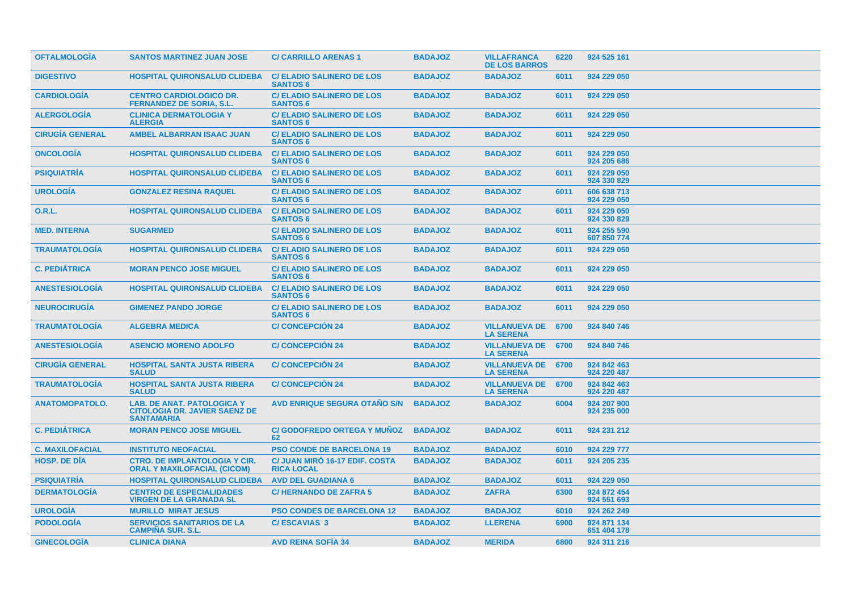| <b>OFTALMOLOGIA</b>    | <b>SANTOS MARTINEZ JUAN JOSE</b>                                                               | <b>C/CARRILLO ARENAS1</b>                           | <b>BADAJOZ</b> | <b>VILLAFRANCA</b><br><b>DE LOS BARROS</b>    | 6220 | 924 525 161                |
|------------------------|------------------------------------------------------------------------------------------------|-----------------------------------------------------|----------------|-----------------------------------------------|------|----------------------------|
| <b>DIGESTIVO</b>       | <b>HOSPITAL QUIRONSALUD CLIDEBA</b>                                                            | <b>C/ ELADIO SALINERO DE LOS</b><br><b>SANTOS 6</b> | <b>BADAJOZ</b> | <b>BADAJOZ</b>                                | 6011 | 924 229 050                |
| <b>CARDIOLOGIA</b>     | <b>CENTRO CARDIOLOGICO DR.</b><br><b>FERNANDEZ DE SORIA, S.L.</b>                              | <b>C/ ELADIO SALINERO DE LOS</b><br><b>SANTOS 6</b> | <b>BADAJOZ</b> | <b>BADAJOZ</b>                                | 6011 | 924 229 050                |
| <b>ALERGOLOGIA</b>     | <b>CLINICA DERMATOLOGIA Y</b><br><b>ALERGIA</b>                                                | <b>C/ ELADIO SALINERO DE LOS</b><br><b>SANTOS 6</b> | <b>BADAJOZ</b> | <b>BADAJOZ</b>                                | 6011 | 924 229 050                |
| <b>CIRUGÍA GENERAL</b> | <b>AMBEL ALBARRAN ISAAC JUAN</b>                                                               | <b>C/ ELADIO SALINERO DE LOS</b><br><b>SANTOS 6</b> | <b>BADAJOZ</b> | <b>BADAJOZ</b>                                | 6011 | 924 229 050                |
| <b>ONCOLOGIA</b>       | <b>HOSPITAL QUIRONSALUD CLIDEBA</b>                                                            | <b>C/ELADIO SALINERO DE LOS</b><br><b>SANTOS 6</b>  | <b>BADAJOZ</b> | <b>BADAJOZ</b>                                | 6011 | 924 229 050<br>924 205 686 |
| <b>PSIQUIATRIA</b>     | <b>HOSPITAL QUIRONSALUD CLIDEBA</b>                                                            | <b>C/ ELADIO SALINERO DE LOS</b><br><b>SANTOS 6</b> | <b>BADAJOZ</b> | <b>BADAJOZ</b>                                | 6011 | 924 229 050<br>924 330 829 |
| <b>UROLOGIA</b>        | <b>GONZALEZ RESINA RAQUEL</b>                                                                  | <b>C/ ELADIO SALINERO DE LOS</b><br><b>SANTOS 6</b> | <b>BADAJOZ</b> | <b>BADAJOZ</b>                                | 6011 | 606 638 713<br>924 229 050 |
| <b>O.R.L.</b>          | <b>HOSPITAL QUIRONSALUD CLIDEBA</b>                                                            | <b>C/ELADIO SALINERO DE LOS</b><br><b>SANTOS 6</b>  | <b>BADAJOZ</b> | <b>BADAJOZ</b>                                | 6011 | 924 229 050<br>924 330 829 |
| <b>MED. INTERNA</b>    | <b>SUGARMED</b>                                                                                | <b>C/ ELADIO SALINERO DE LOS</b><br><b>SANTOS 6</b> | <b>BADAJOZ</b> | <b>BADAJOZ</b>                                | 6011 | 924 255 590<br>607 850 774 |
| <b>TRAUMATOLOGIA</b>   | <b>HOSPITAL QUIRONSALUD CLIDEBA</b>                                                            | <b>C/ ELADIO SALINERO DE LOS</b><br><b>SANTOS 6</b> | <b>BADAJOZ</b> | <b>BADAJOZ</b>                                | 6011 | 924 229 050                |
| <b>C. PEDIÁTRICA</b>   | <b>MORAN PENCO JOSE MIGUEL</b>                                                                 | <b>C/ELADIO SALINERO DE LOS</b><br><b>SANTOS 6</b>  | <b>BADAJOZ</b> | <b>BADAJOZ</b>                                | 6011 | 924 229 050                |
| <b>ANESTESIOLOGIA</b>  | <b>HOSPITAL QUIRONSALUD CLIDEBA</b>                                                            | <b>C/ELADIO SALINERO DE LOS</b><br><b>SANTOS 6</b>  | <b>BADAJOZ</b> | <b>BADAJOZ</b>                                | 6011 | 924 229 050                |
| <b>NEUROCIRUGÍA</b>    | <b>GIMENEZ PANDO JORGE</b>                                                                     | <b>C/ ELADIO SALINERO DE LOS</b><br><b>SANTOS 6</b> | <b>BADAJOZ</b> | <b>BADAJOZ</b>                                | 6011 | 924 229 050                |
| <b>TRAUMATOLOGIA</b>   | <b>ALGEBRA MEDICA</b>                                                                          | <b>C/CONCEPCIÓN 24</b>                              | <b>BADAJOZ</b> | VILLANUEVA DE 6700<br><b>LA SERENA</b>        |      | 924 840 746                |
| <b>ANESTESIOLOGÍA</b>  | <b>ASENCIO MORENO ADOLFO</b>                                                                   | <b>C/CONCEPCIÓN 24</b>                              | <b>BADAJOZ</b> | <b>VILLANUEVA DE 6700</b><br><b>LA SERENA</b> |      | 924 840 746                |
| <b>CIRUGIA GENERAL</b> | <b>HOSPITAL SANTA JUSTA RIBERA</b><br><b>SALUD</b>                                             | <b>C/CONCEPCION 24</b>                              | <b>BADAJOZ</b> | <b>VILLANUEVA DE 6700</b><br><b>LA SERENA</b> |      | 924 842 463<br>924 220 487 |
| <b>TRAUMATOLOGIA</b>   | <b>HOSPITAL SANTA JUSTA RIBERA</b><br><b>SALUD</b>                                             | <b>C/CONCEPCION 24</b>                              | <b>BADAJOZ</b> | <b>VILLANUEVA DE 6700</b><br><b>LA SERENA</b> |      | 924 842 463<br>924 220 487 |
| <b>ANATOMOPATOLO.</b>  | <b>LAB. DE ANAT. PATOLOGICA Y</b><br><b>CITOLOGIA DR. JAVIER SAENZ DE</b><br><b>SANTAMARIA</b> | <b>AVD ENRIQUE SEGURA OTAÑO S/N</b>                 | <b>BADAJOZ</b> | <b>BADAJOZ</b>                                | 6004 | 924 207 900<br>924 235 000 |
| <b>C. PEDIATRICA</b>   | <b>MORAN PENCO JOSE MIGUEL</b>                                                                 | <b>C/ GODOFREDO ORTEGA Y MUNOZ</b><br>62            | <b>BADAJOZ</b> | <b>BADAJOZ</b>                                | 6011 | 924 231 212                |
| <b>C. MAXILOFACIAL</b> | <b>INSTITUTO NEOFACIAL</b>                                                                     | <b>PSO CONDE DE BARCELONA 19</b>                    | <b>BADAJOZ</b> | <b>BADAJOZ</b>                                | 6010 | 924 229 777                |
| <b>HOSP, DE DIA</b>    | <b>CTRO. DE IMPLANTOLOGIA Y CIR.</b><br><b>ORAL Y MAXILOFACIAL (CICOM)</b>                     | C/ JUAN MIRO 16-17 EDIF. COSTA<br><b>RICA LOCAL</b> | <b>BADAJOZ</b> | <b>BADAJOZ</b>                                | 6011 | 924 205 235                |
| <b>PSIQUIATRIA</b>     | <b>HOSPITAL QUIRONSALUD CLIDEBA</b>                                                            | <b>AVD DEL GUADIANA 6</b>                           | <b>BADAJOZ</b> | <b>BADAJOZ</b>                                | 6011 | 924 229 050                |
| <b>DERMATOLOGIA</b>    | <b>CENTRO DE ESPECIALIDADES</b><br><b>VIRGEN DE LA GRANADA SL</b>                              | <b>C/HERNANDO DE ZAFRA 5</b>                        | <b>BADAJOZ</b> | <b>ZAFRA</b>                                  | 6300 | 924 872 454<br>924 551 693 |
| <b>UROLOGÍA</b>        | <b>MURILLO MIRAT JESUS</b>                                                                     | <b>PSO CONDES DE BARCELONA 12</b>                   | <b>BADAJOZ</b> | <b>BADAJOZ</b>                                | 6010 | 924 262 249                |
| <b>PODOLOGÍA</b>       | <b>SERVICIOS SANITARIOS DE LA</b><br><b>CAMPINA SUR. S.L.</b>                                  | <b>C/ESCAVIAS 3</b>                                 | <b>BADAJOZ</b> | <b>LLERENA</b>                                | 6900 | 924 871 134<br>651 404 178 |
| <b>GINECOLOGIA</b>     | <b>CLINICA DIANA</b>                                                                           | <b>AVD REINA SOFIA 34</b>                           | <b>BADAJOZ</b> | <b>MERIDA</b>                                 | 6800 | 924 311 216                |
|                        |                                                                                                |                                                     |                |                                               |      |                            |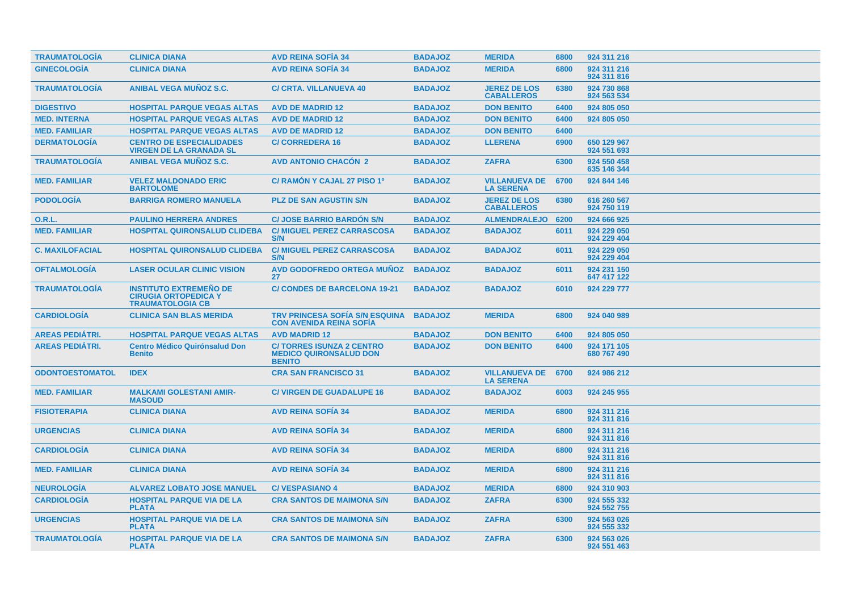| <b>TRAUMATOLOGIA</b>   | <b>CLINICA DIANA</b>                                                                    | <b>AVD REINA SOFIA 34</b>                                                         | <b>BADAJOZ</b> | <b>MERIDA</b>                            | 6800 | 924 311 216                |
|------------------------|-----------------------------------------------------------------------------------------|-----------------------------------------------------------------------------------|----------------|------------------------------------------|------|----------------------------|
| <b>GINECOLOGÍA</b>     | <b>CLINICA DIANA</b>                                                                    | <b>AVD REINA SOFIA 34</b>                                                         | <b>BADAJOZ</b> | <b>MERIDA</b>                            | 6800 | 924 311 216<br>924 311 816 |
| <b>TRAUMATOLOGÍA</b>   | <b>ANIBAL VEGA MUÑOZ S.C.</b>                                                           | <b>C/ CRTA. VILLANUEVA 40</b>                                                     | <b>BADAJOZ</b> | <b>JEREZ DE LOS</b><br><b>CABALLEROS</b> | 6380 | 924 730 868<br>924 563 534 |
| <b>DIGESTIVO</b>       | <b>HOSPITAL PARQUE VEGAS ALTAS</b>                                                      | <b>AVD DE MADRID 12</b>                                                           | <b>BADAJOZ</b> | <b>DON BENITO</b>                        | 6400 | 924 805 050                |
| <b>MED. INTERNA</b>    | <b>HOSPITAL PARQUE VEGAS ALTAS</b>                                                      | <b>AVD DE MADRID 12</b>                                                           | <b>BADAJOZ</b> | <b>DON BENITO</b>                        | 6400 | 924 805 050                |
| <b>MED. FAMILIAR</b>   | <b>HOSPITAL PARQUE VEGAS ALTAS</b>                                                      | <b>AVD DE MADRID 12</b>                                                           | <b>BADAJOZ</b> | <b>DON BENITO</b>                        | 6400 |                            |
| <b>DERMATOLOGÍA</b>    | <b>CENTRO DE ESPECIALIDADES</b><br><b>VIRGEN DE LA GRANADA SL</b>                       | <b>C/CORREDERA 16</b>                                                             | <b>BADAJOZ</b> | <b>LLERENA</b>                           | 6900 | 650 129 967<br>924 551 693 |
| <b>TRAUMATOLOGÍA</b>   | <b>ANIBAL VEGA MUNOZ S.C.</b>                                                           | <b>AVD ANTONIO CHACON 2</b>                                                       | <b>BADAJOZ</b> | <b>ZAFRA</b>                             | 6300 | 924 550 458<br>635 146 344 |
| <b>MED. FAMILIAR</b>   | <b>VELEZ MALDONADO ERIC</b><br><b>BARTOLOME</b>                                         | C/ RAMON Y CAJAL 27 PISO 1º                                                       | <b>BADAJOZ</b> | <b>VILLANUEVA DE</b><br><b>LA SERENA</b> | 6700 | 924 844 146                |
| <b>PODOLOGIA</b>       | <b>BARRIGA ROMERO MANUELA</b>                                                           | <b>PLZ DE SAN AGUSTIN S/N</b>                                                     | <b>BADAJOZ</b> | <b>JEREZ DE LOS</b><br><b>CABALLEROS</b> | 6380 | 616 260 567<br>924 750 119 |
| <b>O.R.L.</b>          | <b>PAULINO HERRERA ANDRES</b>                                                           | <b>C/ JOSE BARRIO BARDON S/N</b>                                                  | <b>BADAJOZ</b> | <b>ALMENDRALEJO</b>                      | 6200 | 924 666 925                |
| <b>MED. FAMILIAR</b>   | <b>HOSPITAL QUIRONSALUD CLIDEBA</b>                                                     | <b>C/ MIGUEL PEREZ CARRASCOSA</b><br>S/N                                          | <b>BADAJOZ</b> | <b>BADAJOZ</b>                           | 6011 | 924 229 050<br>924 229 404 |
| <b>C. MAXILOFACIAL</b> | <b>HOSPITAL QUIRONSALUD CLIDEBA</b>                                                     | <b>C/ MIGUEL PEREZ CARRASCOSA</b><br>S/N                                          | <b>BADAJOZ</b> | <b>BADAJOZ</b>                           | 6011 | 924 229 050<br>924 229 404 |
| <b>OFTALMOLOGIA</b>    | <b>LASER OCULAR CLINIC VISION</b>                                                       | <b>AVD GODOFREDO ORTEGA MUNOZ</b><br>27                                           | <b>BADAJOZ</b> | <b>BADAJOZ</b>                           | 6011 | 924 231 150<br>647 417 122 |
| <b>TRAUMATOLOGIA</b>   | <b>INSTITUTO EXTREMEÑO DE</b><br><b>CIRUGIA ORTOPEDICA Y</b><br><b>TRAUMATOLOGIA CB</b> | <b>C/ CONDES DE BARCELONA 19-21</b>                                               | <b>BADAJOZ</b> | <b>BADAJOZ</b>                           | 6010 | 924 229 777                |
| <b>CARDIOLOGÍA</b>     | <b>CLINICA SAN BLAS MERIDA</b>                                                          | <b>TRV PRINCESA SOFÍA S/N ESQUINA</b><br><b>CON AVENIDA REINA SOFÍA</b>           | <b>BADAJOZ</b> | <b>MERIDA</b>                            | 6800 | 924 040 989                |
| <b>AREAS PEDIÁTRI.</b> | <b>HOSPITAL PARQUE VEGAS ALTAS</b>                                                      | <b>AVD MADRID 12</b>                                                              | <b>BADAJOZ</b> | <b>DON BENITO</b>                        | 6400 | 924 805 050                |
| <b>AREAS PEDIÁTRI.</b> | <b>Centro Médico Quirónsalud Don</b><br><b>Benito</b>                                   | <b>C/TORRES ISUNZA 2 CENTRO</b><br><b>MEDICO QUIRONSALUD DON</b><br><b>BENITO</b> | <b>BADAJOZ</b> | <b>DON BENITO</b>                        | 6400 | 924 171 105<br>680 767 490 |
| <b>ODONTOESTOMATOL</b> | <b>IDEX</b>                                                                             | <b>CRA SAN FRANCISCO 31</b>                                                       | <b>BADAJOZ</b> | <b>VILLANUEVA DE</b><br><b>LA SERENA</b> | 6700 | 924 986 212                |
| <b>MED. FAMILIAR</b>   | <b>MALKAMI GOLESTANI AMIR-</b><br><b>MASOUD</b>                                         | <b>C/ VIRGEN DE GUADALUPE 16</b>                                                  | <b>BADAJOZ</b> | <b>BADAJOZ</b>                           | 6003 | 924 245 955                |
| <b>FISIOTERAPIA</b>    | <b>CLINICA DIANA</b>                                                                    | <b>AVD REINA SOFIA 34</b>                                                         | <b>BADAJOZ</b> | <b>MERIDA</b>                            | 6800 | 924 311 216<br>924 311 816 |
| <b>URGENCIAS</b>       | <b>CLINICA DIANA</b>                                                                    | <b>AVD REINA SOFIA 34</b>                                                         | <b>BADAJOZ</b> | <b>MERIDA</b>                            | 6800 | 924 311 216<br>924 311 816 |
| <b>CARDIOLOGIA</b>     | <b>CLINICA DIANA</b>                                                                    | <b>AVD REINA SOFIA 34</b>                                                         | <b>BADAJOZ</b> | <b>MERIDA</b>                            | 6800 | 924 311 216<br>924 311 816 |
| <b>MED. FAMILIAR</b>   | <b>CLINICA DIANA</b>                                                                    | <b>AVD REINA SOFIA 34</b>                                                         | <b>BADAJOZ</b> | <b>MERIDA</b>                            | 6800 | 924 311 216<br>924 311 816 |
| <b>NEUROLOGÍA</b>      | <b>ALVAREZ LOBATO JOSE MANUEL</b>                                                       | <b>C/VESPASIANO 4</b>                                                             | <b>BADAJOZ</b> | <b>MERIDA</b>                            | 6800 | 924 310 903                |
| <b>CARDIOLOGIA</b>     | <b>HOSPITAL PARQUE VIA DE LA</b><br><b>PLATA</b>                                        | <b>CRA SANTOS DE MAIMONA S/N</b>                                                  | <b>BADAJOZ</b> | <b>ZAFRA</b>                             | 6300 | 924 555 332<br>924 552 755 |
| <b>URGENCIAS</b>       | <b>HOSPITAL PARQUE VIA DE LA</b><br><b>PLATA</b>                                        | <b>CRA SANTOS DE MAIMONA S/N</b>                                                  | <b>BADAJOZ</b> | <b>ZAFRA</b>                             | 6300 | 924 563 026<br>924 555 332 |
| <b>TRAUMATOLOGIA</b>   | <b>HOSPITAL PARQUE VIA DE LA</b><br><b>PLATA</b>                                        | <b>CRA SANTOS DE MAIMONA S/N</b>                                                  | <b>BADAJOZ</b> | <b>ZAFRA</b>                             | 6300 | 924 563 026<br>924 551 463 |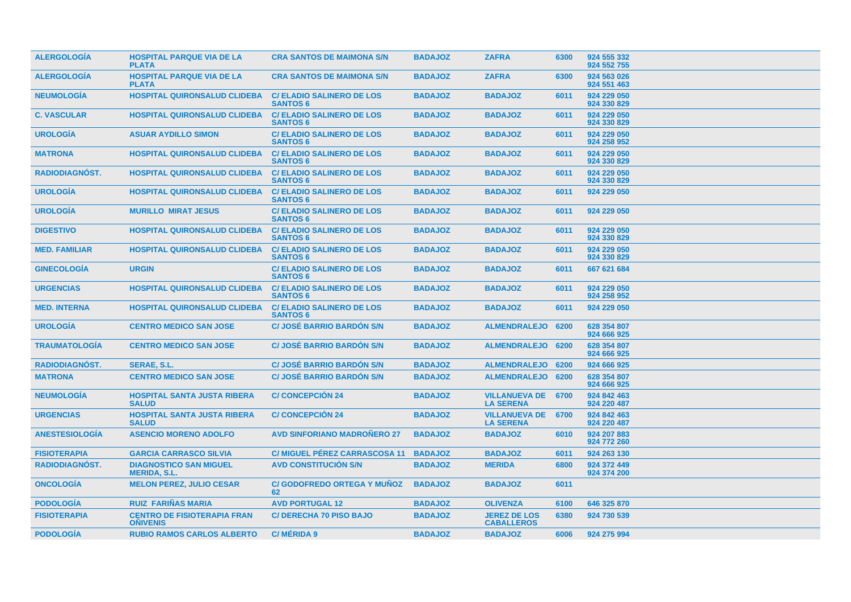| <b>ALERGOLOGIA</b>    | <b>HOSPITAL PARQUE VIA DE LA</b><br><b>PLATA</b>      | <b>CRA SANTOS DE MAIMONA S/N</b>                    | <b>BADAJOZ</b> | <b>ZAFRA</b>                                  | 6300 | 924 555 332<br>924 552 755 |
|-----------------------|-------------------------------------------------------|-----------------------------------------------------|----------------|-----------------------------------------------|------|----------------------------|
| <b>ALERGOLOGIA</b>    | <b>HOSPITAL PARQUE VIA DE LA</b><br><b>PLATA</b>      | <b>CRA SANTOS DE MAIMONA S/N</b>                    | <b>BADAJOZ</b> | <b>ZAFRA</b>                                  | 6300 | 924 563 026<br>924 551 463 |
| <b>NEUMOLOGIA</b>     | <b>HOSPITAL QUIRONSALUD CLIDEBA</b>                   | <b>C/ELADIO SALINERO DE LOS</b><br><b>SANTOS 6</b>  | <b>BADAJOZ</b> | <b>BADAJOZ</b>                                | 6011 | 924 229 050<br>924 330 829 |
| <b>C. VASCULAR</b>    | <b>HOSPITAL QUIRONSALUD CLIDEBA</b>                   | <b>C/ ELADIO SALINERO DE LOS</b><br><b>SANTOS 6</b> | <b>BADAJOZ</b> | <b>BADAJOZ</b>                                | 6011 | 924 229 050<br>924 330 829 |
| <b>UROLOGIA</b>       | <b>ASUAR AYDILLO SIMON</b>                            | <b>C/ELADIO SALINERO DE LOS</b><br><b>SANTOS 6</b>  | <b>BADAJOZ</b> | <b>BADAJOZ</b>                                | 6011 | 924 229 050<br>924 258 952 |
| <b>MATRONA</b>        | <b>HOSPITAL QUIRONSALUD CLIDEBA</b>                   | <b>C/ ELADIO SALINERO DE LOS</b><br><b>SANTOS 6</b> | <b>BADAJOZ</b> | <b>BADAJOZ</b>                                | 6011 | 924 229 050<br>924 330 829 |
| <b>RADIODIAGNOST.</b> | <b>HOSPITAL QUIRONSALUD CLIDEBA</b>                   | <b>C/ ELADIO SALINERO DE LOS</b><br><b>SANTOS 6</b> | <b>BADAJOZ</b> | <b>BADAJOZ</b>                                | 6011 | 924 229 050<br>924 330 829 |
| <b>UROLOGÍA</b>       | <b>HOSPITAL QUIRONSALUD CLIDEBA</b>                   | <b>C/ELADIO SALINERO DE LOS</b><br><b>SANTOS 6</b>  | <b>BADAJOZ</b> | <b>BADAJOZ</b>                                | 6011 | 924 229 050                |
| <b>UROLOGÍA</b>       | <b>MURILLO MIRAT JESUS</b>                            | <b>C/ELADIO SALINERO DE LOS</b><br><b>SANTOS 6</b>  | <b>BADAJOZ</b> | <b>BADAJOZ</b>                                | 6011 | 924 229 050                |
| <b>DIGESTIVO</b>      | <b>HOSPITAL QUIRONSALUD CLIDEBA</b>                   | <b>C/ ELADIO SALINERO DE LOS</b><br><b>SANTOS 6</b> | <b>BADAJOZ</b> | <b>BADAJOZ</b>                                | 6011 | 924 229 050<br>924 330 829 |
| <b>MED. FAMILIAR</b>  | <b>HOSPITAL QUIRONSALUD CLIDEBA</b>                   | <b>C/ ELADIO SALINERO DE LOS</b><br><b>SANTOS 6</b> | <b>BADAJOZ</b> | <b>BADAJOZ</b>                                | 6011 | 924 229 050<br>924 330 829 |
| <b>GINECOLOGIA</b>    | <b>URGIN</b>                                          | <b>C/ ELADIO SALINERO DE LOS</b><br><b>SANTOS 6</b> | <b>BADAJOZ</b> | <b>BADAJOZ</b>                                | 6011 | 667 621 684                |
| <b>URGENCIAS</b>      | <b>HOSPITAL QUIRONSALUD CLIDEBA</b>                   | <b>C/ ELADIO SALINERO DE LOS</b><br><b>SANTOS 6</b> | <b>BADAJOZ</b> | <b>BADAJOZ</b>                                | 6011 | 924 229 050<br>924 258 952 |
| <b>MED. INTERNA</b>   | <b>HOSPITAL QUIRONSALUD CLIDEBA</b>                   | <b>C/ELADIO SALINERO DE LOS</b><br><b>SANTOS 6</b>  | <b>BADAJOZ</b> | <b>BADAJOZ</b>                                | 6011 | 924 229 050                |
| <b>UROLOGIA</b>       | <b>CENTRO MEDICO SAN JOSE</b>                         | <b>C/ JOSÉ BARRIO BARDON S/N</b>                    | <b>BADAJOZ</b> | ALMENDRALEJO 6200                             |      | 628 354 807<br>924 666 925 |
| <b>TRAUMATOLOGIA</b>  | <b>CENTRO MEDICO SAN JOSE</b>                         | <b>C/ JOSÉ BARRIO BARDON S/N</b>                    | <b>BADAJOZ</b> | ALMENDRALEJO 6200                             |      | 628 354 807<br>924 666 925 |
| RADIODIAGNÓST.        | SERAE, S.L.                                           | <b>C/ JOSÉ BARRIO BARDON S/N</b>                    | <b>BADAJOZ</b> | ALMENDRALEJO 6200                             |      | 924 666 925                |
| <b>MATRONA</b>        | <b>CENTRO MEDICO SAN JOSE</b>                         | <b>C/ JOSÉ BARRIO BARDON S/N</b>                    | <b>BADAJOZ</b> | ALMENDRALEJO 6200                             |      | 628 354 807<br>924 666 925 |
| <b>NEUMOLOGÍA</b>     | <b>HOSPITAL SANTA JUSTA RIBERA</b><br><b>SALUD</b>    | <b>C/CONCEPCIÓN 24</b>                              | <b>BADAJOZ</b> | <b>VILLANUEVA DE 6700</b><br><b>LA SERENA</b> |      | 924 842 463<br>924 220 487 |
| <b>URGENCIAS</b>      | <b>HOSPITAL SANTA JUSTA RIBERA</b><br><b>SALUD</b>    | <b>C/CONCEPCIÓN 24</b>                              | <b>BADAJOZ</b> | <b>VILLANUEVA DE 6700</b><br><b>LA SERENA</b> |      | 924 842 463<br>924 220 487 |
| <b>ANESTESIOLOGÍA</b> | <b>ASENCIO MORENO ADOLFO</b>                          | <b>AVD SINFORIANO MADROÑERO 27</b>                  | <b>BADAJOZ</b> | <b>BADAJOZ</b>                                | 6010 | 924 207 883<br>924 772 260 |
| <b>FISIOTERAPIA</b>   | <b>GARCIA CARRASCO SILVIA</b>                         | <b>C/ MIGUEL PÉREZ CARRASCOSA 11</b>                | <b>BADAJOZ</b> | <b>BADAJOZ</b>                                | 6011 | 924 263 130                |
| <b>RADIODIAGNOST.</b> | <b>DIAGNOSTICO SAN MIGUEL</b><br><b>MERIDA, S.L.</b>  | <b>AVD CONSTITUCIÓN S/N</b>                         | <b>BADAJOZ</b> | <b>MERIDA</b>                                 | 6800 | 924 372 449<br>924 374 200 |
| <b>ONCOLOGIA</b>      | <b>MELON PEREZ, JULIO CESAR</b>                       | <b>C/ GODOFREDO ORTEGA Y MUNOZ</b><br>62            | <b>BADAJOZ</b> | <b>BADAJOZ</b>                                | 6011 |                            |
| <b>PODOLOGIA</b>      | <b>RUIZ FARIÑAS MARIA</b>                             | <b>AVD PORTUGAL 12</b>                              | <b>BADAJOZ</b> | <b>OLIVENZA</b>                               | 6100 | 646 325 870                |
| <b>FISIOTERAPIA</b>   | <b>CENTRO DE FISIOTERAPIA FRAN</b><br><b>ONIVENIS</b> | <b>C/ DERECHA 70 PISO BAJO</b>                      | <b>BADAJOZ</b> | <b>JEREZ DE LOS</b><br><b>CABALLEROS</b>      | 6380 | 924 730 539                |
| <b>PODOLOGÍA</b>      | <b>RUBIO RAMOS CARLOS ALBERTO</b>                     | <b>C/MÉRIDA 9</b>                                   | <b>BADAJOZ</b> | <b>BADAJOZ</b>                                | 6006 | 924 275 994                |
|                       |                                                       |                                                     |                |                                               |      |                            |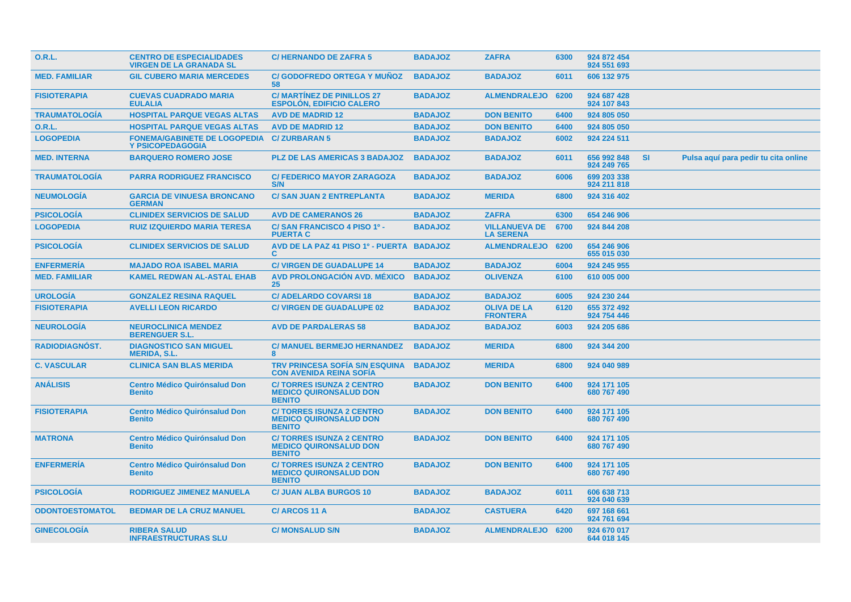| <b>O.R.L.</b>          | <b>CENTRO DE ESPECIALIDADES</b><br><b>VIRGEN DE LA GRANADA SL</b> | <b>C/HERNANDO DE ZAFRA 5</b>                                                      | <b>BADAJOZ</b> | <b>ZAFRA</b>                             | 6300 | 924 872 454<br>924 551 693 |           |                                      |
|------------------------|-------------------------------------------------------------------|-----------------------------------------------------------------------------------|----------------|------------------------------------------|------|----------------------------|-----------|--------------------------------------|
| <b>MED. FAMILIAR</b>   | <b>GIL CUBERO MARIA MERCEDES</b>                                  | <b>C/GODOFREDO ORTEGA Y MUNOZ</b><br>58                                           | <b>BADAJOZ</b> | <b>BADAJOZ</b>                           | 6011 | 606 132 975                |           |                                      |
| <b>FISIOTERAPIA</b>    | <b>CUEVAS CUADRADO MARIA</b><br><b>EULALIA</b>                    | <b>C/MARTINEZ DE PINILLOS 27</b><br><b>ESPOLÓN, EDIFICIO CALERO</b>               | <b>BADAJOZ</b> | <b>ALMENDRALEJO</b>                      | 6200 | 924 687 428<br>924 107 843 |           |                                      |
| <b>TRAUMATOLOGIA</b>   | <b>HOSPITAL PARQUE VEGAS ALTAS</b>                                | <b>AVD DE MADRID 12</b>                                                           | <b>BADAJOZ</b> | <b>DON BENITO</b>                        | 6400 | 924 805 050                |           |                                      |
| 0.R.L.                 | <b>HOSPITAL PARQUE VEGAS ALTAS</b>                                | <b>AVD DE MADRID 12</b>                                                           | <b>BADAJOZ</b> | <b>DON BENITO</b>                        | 6400 | 924 805 050                |           |                                      |
| <b>LOGOPEDIA</b>       | <b>FONEMA/GABINETE DE LOGOPEDIA</b><br><b>Y PSICOPEDAGOGIA</b>    | <b>C/ZURBARAN5</b>                                                                | <b>BADAJOZ</b> | <b>BADAJOZ</b>                           | 6002 | 924 224 511                |           |                                      |
| <b>MED. INTERNA</b>    | <b>BARQUERO ROMERO JOSE</b>                                       | <b>PLZ DE LAS AMERICAS 3 BADAJOZ</b>                                              | <b>BADAJOZ</b> | <b>BADAJOZ</b>                           | 6011 | 656 992 848<br>924 249 765 | <b>SI</b> | Pulsa aquí para pedir tu cita online |
| <b>TRAUMATOLOGÍA</b>   | <b>PARRA RODRIGUEZ FRANCISCO</b>                                  | <b>C/ FEDERICO MAYOR ZARAGOZA</b><br>S/N                                          | <b>BADAJOZ</b> | <b>BADAJOZ</b>                           | 6006 | 699 203 338<br>924 211 818 |           |                                      |
| <b>NEUMOLOGÍA</b>      | <b>GARCIA DE VINUESA BRONCANO</b><br><b>GERMAN</b>                | <b>C/ SAN JUAN 2 ENTREPLANTA</b>                                                  | <b>BADAJOZ</b> | <b>MERIDA</b>                            | 6800 | 924 316 402                |           |                                      |
| <b>PSICOLOGIA</b>      | <b>CLINIDEX SERVICIOS DE SALUD</b>                                | <b>AVD DE CAMERANOS 26</b>                                                        | <b>BADAJOZ</b> | <b>ZAFRA</b>                             | 6300 | 654 246 906                |           |                                      |
| <b>LOGOPEDIA</b>       | <b>RUIZ IZQUIERDO MARIA TERESA</b>                                | C/SAN FRANCISCO 4 PISO 1º -<br><b>PUERTA C</b>                                    | <b>BADAJOZ</b> | <b>VILLANUEVA DE</b><br><b>LA SERENA</b> | 6700 | 924 844 208                |           |                                      |
| <b>PSICOLOGIA</b>      | <b>CLINIDEX SERVICIOS DE SALUD</b>                                | AVD DE LA PAZ 41 PISO 1º - PUERTA BADAJOZ<br>C.                                   |                | <b>ALMENDRALEJO</b>                      | 6200 | 654 246 906<br>655 015 030 |           |                                      |
| <b>ENFERMERIA</b>      | <b>MAJADO ROA ISABEL MARIA</b>                                    | <b>C/ VIRGEN DE GUADALUPE 14</b>                                                  | <b>BADAJOZ</b> | <b>BADAJOZ</b>                           | 6004 | 924 245 955                |           |                                      |
| <b>MED. FAMILIAR</b>   | <b>KAMEL REDWAN AL-ASTAL EHAB</b>                                 | AVD PROLONGACIÓN AVD. MÉXICO<br>$25\,$                                            | <b>BADAJOZ</b> | <b>OLIVENZA</b>                          | 6100 | 610 005 000                |           |                                      |
| <b>UROLOGÍA</b>        | <b>GONZALEZ RESINA RAQUEL</b>                                     | <b>C/ADELARDO COVARSI 18</b>                                                      | <b>BADAJOZ</b> | <b>BADAJOZ</b>                           | 6005 | 924 230 244                |           |                                      |
| <b>FISIOTERAPIA</b>    | <b>AVELLI LEON RICARDO</b>                                        | <b>C/ VIRGEN DE GUADALUPE 02</b>                                                  | <b>BADAJOZ</b> | <b>OLIVA DE LA</b><br><b>FRONTERA</b>    | 6120 | 655 372 492<br>924 754 446 |           |                                      |
| <b>NEUROLOGIA</b>      | <b>NEUROCLINICA MENDEZ</b><br><b>BERENGUER S.L.</b>               | <b>AVD DE PARDALERAS 58</b>                                                       | <b>BADAJOZ</b> | <b>BADAJOZ</b>                           | 6003 | 924 205 686                |           |                                      |
| RADIODIAGNÓST.         | <b>DIAGNOSTICO SAN MIGUEL</b><br><b>MERIDA, S.L.</b>              | <b>C/ MANUEL BERMEJO HERNANDEZ</b><br>8                                           | <b>BADAJOZ</b> | <b>MERIDA</b>                            | 6800 | 924 344 200                |           |                                      |
| <b>C. VASCULAR</b>     | <b>CLINICA SAN BLAS MERIDA</b>                                    | <b>TRV PRINCESA SOFIA S/N ESQUINA</b><br><b>CON AVENIDA REINA SOFIA</b>           | <b>BADAJOZ</b> | <b>MERIDA</b>                            | 6800 | 924 040 989                |           |                                      |
| <b>ANÁLISIS</b>        | <b>Centro Médico Quirónsalud Don</b><br><b>Benito</b>             | <b>C/TORRES ISUNZA 2 CENTRO</b><br><b>MEDICO QUIRONSALUD DON</b><br><b>BENITO</b> | <b>BADAJOZ</b> | <b>DON BENITO</b>                        | 6400 | 924 171 105<br>680 767 490 |           |                                      |
| <b>FISIOTERAPIA</b>    | <b>Centro Médico Quirónsalud Don</b><br><b>Benito</b>             | <b>C/TORRES ISUNZA 2 CENTRO</b><br><b>MEDICO QUIRONSALUD DON</b><br><b>BENITO</b> | <b>BADAJOZ</b> | <b>DON BENITO</b>                        | 6400 | 924 171 105<br>680 767 490 |           |                                      |
| <b>MATRONA</b>         | <b>Centro Médico Quirónsalud Don</b><br><b>Benito</b>             | <b>C/TORRES ISUNZA 2 CENTRO</b><br><b>MEDICO QUIRONSALUD DON</b><br><b>BENITO</b> | <b>BADAJOZ</b> | <b>DON BENITO</b>                        | 6400 | 924 171 105<br>680 767 490 |           |                                      |
| <b>ENFERMERIA</b>      | <b>Centro Médico Quirónsalud Don</b><br><b>Benito</b>             | <b>C/TORRES ISUNZA 2 CENTRO</b><br><b>MEDICO QUIRONSALUD DON</b><br><b>BENITO</b> | <b>BADAJOZ</b> | <b>DON BENITO</b>                        | 6400 | 924 171 105<br>680 767 490 |           |                                      |
| <b>PSICOLOGIA</b>      | <b>RODRIGUEZ JIMENEZ MANUELA</b>                                  | <b>C/ JUAN ALBA BURGOS 10</b>                                                     | <b>BADAJOZ</b> | <b>BADAJOZ</b>                           | 6011 | 606 638 713<br>924 040 639 |           |                                      |
| <b>ODONTOESTOMATOL</b> | <b>BEDMAR DE LA CRUZ MANUEL</b>                                   | C/ARCOS 11 A                                                                      | <b>BADAJOZ</b> | <b>CASTUERA</b>                          | 6420 | 697 168 661<br>924 761 694 |           |                                      |
| <b>GINECOLOGÍA</b>     | <b>RIBERA SALUD</b><br><b>INFRAESTRUCTURAS SLU</b>                | <b>C/ MONSALUD S/N</b>                                                            | <b>BADAJOZ</b> | ALMENDRALEJO 6200                        |      | 924 670 017<br>644 018 145 |           |                                      |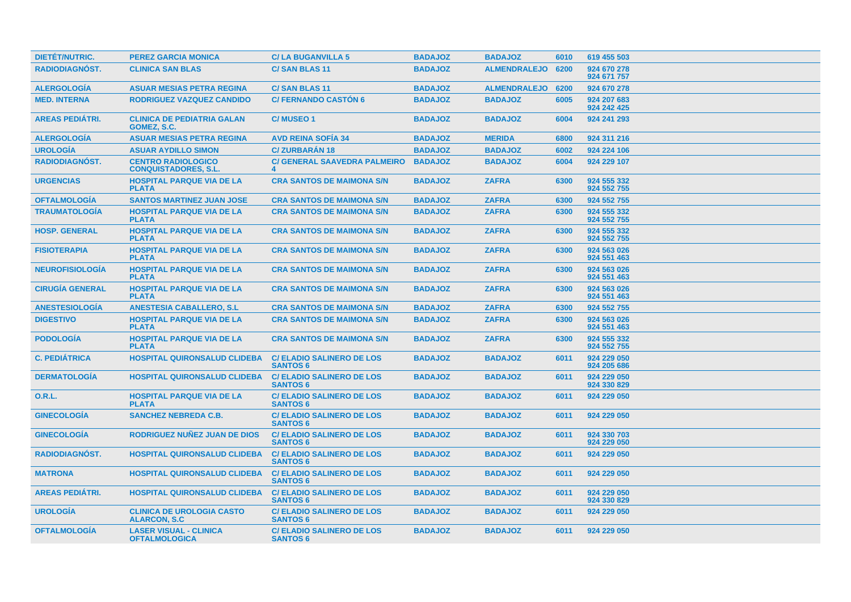| <b>DIETET/NUTRIC.</b>  | <b>PEREZ GARCIA MONICA</b>                               | <b>C/LA BUGANVILLA 5</b>                            | <b>BADAJOZ</b> | <b>BADAJOZ</b>      | 6010 | 619 455 503                |
|------------------------|----------------------------------------------------------|-----------------------------------------------------|----------------|---------------------|------|----------------------------|
| <b>RADIODIAGNÓST.</b>  | <b>CLINICA SAN BLAS</b>                                  | <b>C/SAN BLAS 11</b>                                | <b>BADAJOZ</b> | ALMENDRALEJO 6200   |      | 924 670 278<br>924 671 757 |
| <b>ALERGOLOGÍA</b>     | <b>ASUAR MESIAS PETRA REGINA</b>                         | <b>C/SAN BLAS 11</b>                                | <b>BADAJOZ</b> | <b>ALMENDRALEJO</b> | 6200 | 924 670 278                |
| <b>MED. INTERNA</b>    | <b>RODRIGUEZ VAZQUEZ CANDIDO</b>                         | <b>C/ FERNANDO CASTON 6</b>                         | <b>BADAJOZ</b> | <b>BADAJOZ</b>      | 6005 | 924 207 683<br>924 242 425 |
| <b>AREAS PEDIÁTRI.</b> | <b>CLINICA DE PEDIATRIA GALAN</b><br>GOMEZ, S.C.         | <b>C/MUSEO1</b>                                     | <b>BADAJOZ</b> | <b>BADAJOZ</b>      | 6004 | 924 241 293                |
| <b>ALERGOLOGIA</b>     | <b>ASUAR MESIAS PETRA REGINA</b>                         | <b>AVD REINA SOFIA 34</b>                           | <b>BADAJOZ</b> | <b>MERIDA</b>       | 6800 | 924 311 216                |
| <b>UROLOGÍA</b>        | <b>ASUAR AYDILLO SIMON</b>                               | <b>C/ZURBARÁN 18</b>                                | <b>BADAJOZ</b> | <b>BADAJOZ</b>      | 6002 | 924 224 106                |
| <b>RADIODIAGNÓST.</b>  | <b>CENTRO RADIOLOGICO</b><br><b>CONQUISTADORES, S.L.</b> | <b>C/ GENERAL SAAVEDRA PALMEIRO</b>                 | <b>BADAJOZ</b> | <b>BADAJOZ</b>      | 6004 | 924 229 107                |
| <b>URGENCIAS</b>       | <b>HOSPITAL PARQUE VIA DE LA</b><br><b>PLATA</b>         | <b>CRA SANTOS DE MAIMONA S/N</b>                    | <b>BADAJOZ</b> | <b>ZAFRA</b>        | 6300 | 924 555 332<br>924 552 755 |
| <b>OFTALMOLOGÍA</b>    | <b>SANTOS MARTINEZ JUAN JOSE</b>                         | <b>CRA SANTOS DE MAIMONA S/N</b>                    | <b>BADAJOZ</b> | <b>ZAFRA</b>        | 6300 | 924 552 755                |
| <b>TRAUMATOLOGÍA</b>   | <b>HOSPITAL PARQUE VIA DE LA</b><br><b>PLATA</b>         | <b>CRA SANTOS DE MAIMONA S/N</b>                    | <b>BADAJOZ</b> | <b>ZAFRA</b>        | 6300 | 924 555 332<br>924 552 755 |
| <b>HOSP. GENERAL</b>   | <b>HOSPITAL PARQUE VIA DE LA</b><br><b>PLATA</b>         | <b>CRA SANTOS DE MAIMONA S/N</b>                    | <b>BADAJOZ</b> | <b>ZAFRA</b>        | 6300 | 924 555 332<br>924 552 755 |
| <b>FISIOTERAPIA</b>    | <b>HOSPITAL PARQUE VIA DE LA</b><br><b>PLATA</b>         | <b>CRA SANTOS DE MAIMONA S/N</b>                    | <b>BADAJOZ</b> | <b>ZAFRA</b>        | 6300 | 924 563 026<br>924 551 463 |
| <b>NEUROFISIOLOGIA</b> | <b>HOSPITAL PARQUE VIA DE LA</b><br><b>PLATA</b>         | <b>CRA SANTOS DE MAIMONA S/N</b>                    | <b>BADAJOZ</b> | <b>ZAFRA</b>        | 6300 | 924 563 026<br>924 551 463 |
| <b>CIRUGÍA GENERAL</b> | <b>HOSPITAL PARQUE VIA DE LA</b><br><b>PLATA</b>         | <b>CRA SANTOS DE MAIMONA S/N</b>                    | <b>BADAJOZ</b> | <b>ZAFRA</b>        | 6300 | 924 563 026<br>924 551 463 |
| <b>ANESTESIOLOGIA</b>  | <b>ANESTESIA CABALLERO, S.L.</b>                         | <b>CRA SANTOS DE MAIMONA S/N</b>                    | <b>BADAJOZ</b> | <b>ZAFRA</b>        | 6300 | 924 552 755                |
| <b>DIGESTIVO</b>       | <b>HOSPITAL PARQUE VIA DE LA</b><br><b>PLATA</b>         | <b>CRA SANTOS DE MAIMONA S/N</b>                    | <b>BADAJOZ</b> | <b>ZAFRA</b>        | 6300 | 924 563 026<br>924 551 463 |
| <b>PODOLOGÍA</b>       | <b>HOSPITAL PARQUE VIA DE LA</b><br><b>PLATA</b>         | <b>CRA SANTOS DE MAIMONA S/N</b>                    | <b>BADAJOZ</b> | <b>ZAFRA</b>        | 6300 | 924 555 332<br>924 552 755 |
| <b>C. PEDIÁTRICA</b>   | <b>HOSPITAL QUIRONSALUD CLIDEBA</b>                      | <b>C/ ELADIO SALINERO DE LOS</b><br><b>SANTOS 6</b> | <b>BADAJOZ</b> | <b>BADAJOZ</b>      | 6011 | 924 229 050<br>924 205 686 |
| <b>DERMATOLOGIA</b>    | <b>HOSPITAL QUIRONSALUD CLIDEBA</b>                      | <b>C/ ELADIO SALINERO DE LOS</b><br><b>SANTOS 6</b> | <b>BADAJOZ</b> | <b>BADAJOZ</b>      | 6011 | 924 229 050<br>924 330 829 |
| <b>O.R.L.</b>          | <b>HOSPITAL PARQUE VIA DE LA</b><br><b>PLATA</b>         | <b>C/ELADIO SALINERO DE LOS</b><br><b>SANTOS 6</b>  | <b>BADAJOZ</b> | <b>BADAJOZ</b>      | 6011 | 924 229 050                |
| <b>GINECOLOGÍA</b>     | <b>SANCHEZ NEBREDA C.B.</b>                              | <b>C/ ELADIO SALINERO DE LOS</b><br><b>SANTOS 6</b> | <b>BADAJOZ</b> | <b>BADAJOZ</b>      | 6011 | 924 229 050                |
| <b>GINECOLOGÍA</b>     | RODRIGUEZ NUÑEZ JUAN DE DIOS                             | <b>C/ELADIO SALINERO DE LOS</b><br><b>SANTOS 6</b>  | <b>BADAJOZ</b> | <b>BADAJOZ</b>      | 6011 | 924 330 703<br>924 229 050 |
| <b>RADIODIAGNOST.</b>  | <b>HOSPITAL QUIRONSALUD CLIDEBA</b>                      | <b>C/ ELADIO SALINERO DE LOS</b><br><b>SANTOS 6</b> | <b>BADAJOZ</b> | <b>BADAJOZ</b>      | 6011 | 924 229 050                |
| <b>MATRONA</b>         | <b>HOSPITAL QUIRONSALUD CLIDEBA</b>                      | <b>C/ELADIO SALINERO DE LOS</b><br><b>SANTOS 6</b>  | <b>BADAJOZ</b> | <b>BADAJOZ</b>      | 6011 | 924 229 050                |
| <b>AREAS PEDIÁTRI.</b> | <b>HOSPITAL QUIRONSALUD CLIDEBA</b>                      | <b>C/ELADIO SALINERO DE LOS</b><br><b>SANTOS 6</b>  | <b>BADAJOZ</b> | <b>BADAJOZ</b>      | 6011 | 924 229 050<br>924 330 829 |
| <b>UROLOGÍA</b>        | <b>CLINICA DE UROLOGIA CASTO</b><br><b>ALARCON, S.C</b>  | <b>C/ELADIO SALINERO DE LOS</b><br><b>SANTOS 6</b>  | <b>BADAJOZ</b> | <b>BADAJOZ</b>      | 6011 | 924 229 050                |
| <b>OFTALMOLOGÍA</b>    | <b>LASER VISUAL - CLINICA</b><br><b>OFTALMOLOGICA</b>    | <b>C/ ELADIO SALINERO DE LOS</b><br><b>SANTOS 6</b> | <b>BADAJOZ</b> | <b>BADAJOZ</b>      | 6011 | 924 229 050                |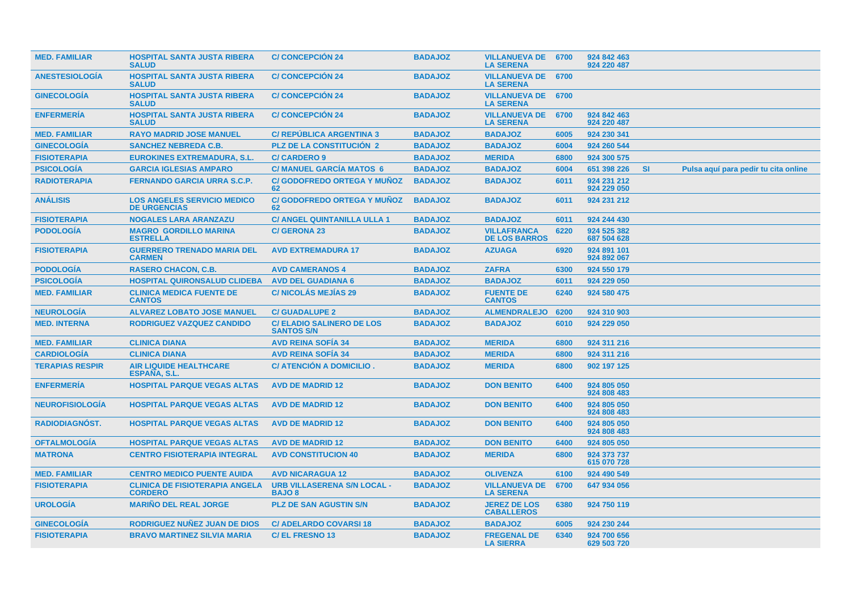| <b>MED. FAMILIAR</b>   | <b>HOSPITAL SANTA JUSTA RIBERA</b><br><b>SALUD</b>        | <b>C/CONCEPCION 24</b>                                | <b>BADAJOZ</b> | <b>VILLANUEVA DE 6700</b><br><b>LA SERENA</b> |      | 924 842 463<br>924 220 487 |           |                                      |  |
|------------------------|-----------------------------------------------------------|-------------------------------------------------------|----------------|-----------------------------------------------|------|----------------------------|-----------|--------------------------------------|--|
| <b>ANESTESIOLOGÍA</b>  | <b>HOSPITAL SANTA JUSTA RIBERA</b><br><b>SALUD</b>        | <b>C/CONCEPCIÓN 24</b>                                | <b>BADAJOZ</b> | <b>VILLANUEVA DE 6700</b><br><b>LA SERENA</b> |      |                            |           |                                      |  |
| <b>GINECOLOGIA</b>     | <b>HOSPITAL SANTA JUSTA RIBERA</b><br><b>SALUD</b>        | <b>C/CONCEPCION 24</b>                                | <b>BADAJOZ</b> | <b>VILLANUEVA DE 6700</b><br><b>LA SERENA</b> |      |                            |           |                                      |  |
| <b>ENFERMERÍA</b>      | <b>HOSPITAL SANTA JUSTA RIBERA</b><br><b>SALUD</b>        | <b>C/CONCEPCIÓN 24</b>                                | <b>BADAJOZ</b> | <b>VILLANUEVA DE</b><br><b>LA SERENA</b>      | 6700 | 924 842 463<br>924 220 487 |           |                                      |  |
| <b>MED. FAMILIAR</b>   | <b>RAYO MADRID JOSE MANUEL</b>                            | <b>C/ REPUBLICA ARGENTINA 3</b>                       | <b>BADAJOZ</b> | <b>BADAJOZ</b>                                | 6005 | 924 230 341                |           |                                      |  |
| <b>GINECOLOGIA</b>     | <b>SANCHEZ NEBREDA C.B.</b>                               | <b>PLZ DE LA CONSTITUCION 2</b>                       | <b>BADAJOZ</b> | <b>BADAJOZ</b>                                | 6004 | 924 260 544                |           |                                      |  |
| <b>FISIOTERAPIA</b>    | <b>EUROKINES EXTREMADURA, S.L.</b>                        | <b>C/CARDERO 9</b>                                    | <b>BADAJOZ</b> | <b>MERIDA</b>                                 | 6800 | 924 300 575                |           |                                      |  |
| <b>PSICOLOGÍA</b>      | <b>GARCIA IGLESIAS AMPARO</b>                             | <b>C/ MANUEL GARCIA MATOS 6</b>                       | <b>BADAJOZ</b> | <b>BADAJOZ</b>                                | 6004 | 651 398 226                | <b>SI</b> | Pulsa aquí para pedir tu cita online |  |
| <b>RADIOTERAPIA</b>    | <b>FERNANDO GARCIA URRA S.C.P.</b>                        | <b>C/ GODOFREDO ORTEGA Y MUNOZ</b><br>62              | <b>BADAJOZ</b> | <b>BADAJOZ</b>                                | 6011 | 924 231 212<br>924 229 050 |           |                                      |  |
| <b>ANÁLISIS</b>        | <b>LOS ANGELES SERVICIO MEDICO</b><br><b>DE URGENCIAS</b> | <b>C/GODOFREDO ORTEGA Y MUÑOZ</b><br>62               | <b>BADAJOZ</b> | <b>BADAJOZ</b>                                | 6011 | 924 231 212                |           |                                      |  |
| <b>FISIOTERAPIA</b>    | <b>NOGALES LARA ARANZAZU</b>                              | <b>C/ ANGEL QUINTANILLA ULLA 1</b>                    | <b>BADAJOZ</b> | <b>BADAJOZ</b>                                | 6011 | 924 244 430                |           |                                      |  |
| <b>PODOLOGÍA</b>       | <b>MAGRO GORDILLO MARINA</b><br><b>ESTRELLA</b>           | <b>C/ GERONA 23</b>                                   | <b>BADAJOZ</b> | <b>VILLAFRANCA</b><br><b>DE LOS BARROS</b>    | 6220 | 924 525 382<br>687 504 628 |           |                                      |  |
| <b>FISIOTERAPIA</b>    | <b>GUERRERO TRENADO MARIA DEL</b><br><b>CARMEN</b>        | <b>AVD EXTREMADURA 17</b>                             | <b>BADAJOZ</b> | <b>AZUAGA</b>                                 | 6920 | 924 891 101<br>924 892 067 |           |                                      |  |
| <b>PODOLOGÍA</b>       | <b>RASERO CHACON, C.B.</b>                                | <b>AVD CAMERANOS 4</b>                                | <b>BADAJOZ</b> | <b>ZAFRA</b>                                  | 6300 | 924 550 179                |           |                                      |  |
| <b>PSICOLOGÍA</b>      | <b>HOSPITAL QUIRONSALUD CLIDEBA</b>                       | <b>AVD DEL GUADIANA 6</b>                             | <b>BADAJOZ</b> | <b>BADAJOZ</b>                                | 6011 | 924 229 050                |           |                                      |  |
| <b>MED. FAMILIAR</b>   | <b>CLINICA MEDICA FUENTE DE</b><br><b>CANTOS</b>          | <b>C/NICOLAS MEJIAS 29</b>                            | <b>BADAJOZ</b> | <b>FUENTE DE</b><br><b>CANTOS</b>             | 6240 | 924 580 475                |           |                                      |  |
| <b>NEUROLOGÍA</b>      | <b>ALVAREZ LOBATO JOSE MANUEL</b>                         | <b>C/ GUADALUPE 2</b>                                 | <b>BADAJOZ</b> | <b>ALMENDRALEJO</b>                           | 6200 | 924 310 903                |           |                                      |  |
| <b>MED. INTERNA</b>    | RODRIGUEZ VAZQUEZ CANDIDO                                 | <b>C/ ELADIO SALINERO DE LOS</b><br><b>SANTOS S/N</b> | <b>BADAJOZ</b> | <b>BADAJOZ</b>                                | 6010 | 924 229 050                |           |                                      |  |
| <b>MED. FAMILIAR</b>   | <b>CLINICA DIANA</b>                                      | <b>AVD REINA SOFIA 34</b>                             | <b>BADAJOZ</b> | <b>MERIDA</b>                                 | 6800 | 924 311 216                |           |                                      |  |
| <b>CARDIOLOGÍA</b>     | <b>CLINICA DIANA</b>                                      | <b>AVD REINA SOFIA 34</b>                             | <b>BADAJOZ</b> | <b>MERIDA</b>                                 | 6800 | 924 311 216                |           |                                      |  |
| <b>TERAPIAS RESPIR</b> | <b>AIR LIQUIDE HEALTHCARE</b><br>ESPAÑA, S.L.             | C/ ATENCIÓN A DOMICILIO.                              | <b>BADAJOZ</b> | <b>MERIDA</b>                                 | 6800 | 902 197 125                |           |                                      |  |
| <b>ENFERMERIA</b>      | <b>HOSPITAL PARQUE VEGAS ALTAS</b>                        | <b>AVD DE MADRID 12</b>                               | <b>BADAJOZ</b> | <b>DON BENITO</b>                             | 6400 | 924 805 050<br>924 808 483 |           |                                      |  |
| <b>NEUROFISIOLOGÍA</b> | <b>HOSPITAL PARQUE VEGAS ALTAS</b>                        | <b>AVD DE MADRID 12</b>                               | <b>BADAJOZ</b> | <b>DON BENITO</b>                             | 6400 | 924 805 050<br>924 808 483 |           |                                      |  |
| <b>RADIODIAGNOST.</b>  | <b>HOSPITAL PARQUE VEGAS ALTAS</b>                        | <b>AVD DE MADRID 12</b>                               | <b>BADAJOZ</b> | <b>DON BENITO</b>                             | 6400 | 924 805 050<br>924 808 483 |           |                                      |  |
| <b>OFTALMOLOGÍA</b>    | <b>HOSPITAL PARQUE VEGAS ALTAS</b>                        | <b>AVD DE MADRID 12</b>                               | <b>BADAJOZ</b> | <b>DON BENITO</b>                             | 6400 | 924 805 050                |           |                                      |  |
| <b>MATRONA</b>         | <b>CENTRO FISIOTERAPIA INTEGRAL</b>                       | <b>AVD CONSTITUCION 40</b>                            | <b>BADAJOZ</b> | <b>MERIDA</b>                                 | 6800 | 924 373 737<br>615 070 728 |           |                                      |  |
| <b>MED. FAMILIAR</b>   | <b>CENTRO MEDICO PUENTE AUIDA</b>                         | <b>AVD NICARAGUA 12</b>                               | <b>BADAJOZ</b> | <b>OLIVENZA</b>                               | 6100 | 924 490 549                |           |                                      |  |
| <b>FISIOTERAPIA</b>    | <b>CLINICA DE FISIOTERAPIA ANGELA</b><br><b>CORDERO</b>   | <b>URB VILLASERENA S/N LOCAL -</b><br><b>BAJO 8</b>   | <b>BADAJOZ</b> | <b>VILLANUEVA DE</b><br><b>LA SERENA</b>      | 6700 | 647 934 056                |           |                                      |  |
| <b>UROLOGIA</b>        | <b>MARIÑO DEL REAL JORGE</b>                              | <b>PLZ DE SAN AGUSTIN S/N</b>                         | <b>BADAJOZ</b> | <b>JEREZ DE LOS</b><br><b>CABALLEROS</b>      | 6380 | 924 750 119                |           |                                      |  |
| <b>GINECOLOGIA</b>     | RODRIGUEZ NUÑEZ JUAN DE DIOS                              | <b>C/ADELARDO COVARSI 18</b>                          | <b>BADAJOZ</b> | <b>BADAJOZ</b>                                | 6005 | 924 230 244                |           |                                      |  |
| <b>FISIOTERAPIA</b>    | <b>BRAVO MARTINEZ SILVIA MARIA</b>                        | <b>C/EL FRESNO 13</b>                                 | <b>BADAJOZ</b> | <b>FREGENAL DE</b><br><b>LA SIERRA</b>        | 6340 | 924 700 656<br>629 503 720 |           |                                      |  |